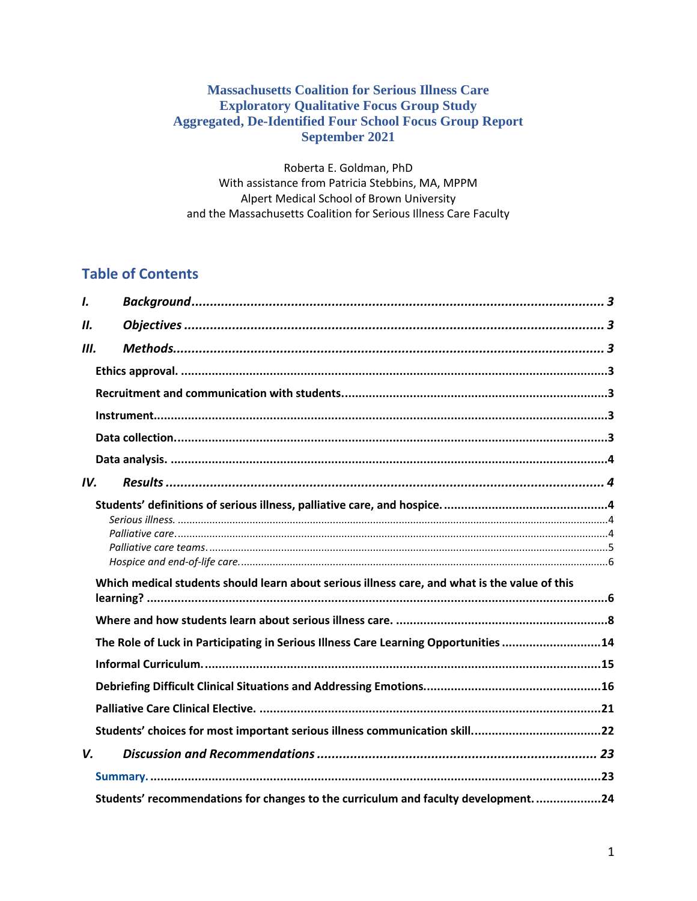## **Massachusetts Coalition for Serious Illness Care Exploratory Qualitative Focus Group Study Aggregated, De-Identified Four School Focus Group Report September 2021**

Roberta E. Goldman, PhD With assistance from Patricia Stebbins, MA, MPPM Alpert Medical School of Brown University and the Massachusetts Coalition for Serious Illness Care Faculty

## **Table of Contents**

| I.  |                                                                                               |  |
|-----|-----------------------------------------------------------------------------------------------|--|
| II. |                                                                                               |  |
| Ш.  |                                                                                               |  |
|     |                                                                                               |  |
|     |                                                                                               |  |
|     |                                                                                               |  |
|     |                                                                                               |  |
|     |                                                                                               |  |
| IV. |                                                                                               |  |
|     | Which medical students should learn about serious illness care, and what is the value of this |  |
|     |                                                                                               |  |
|     |                                                                                               |  |
|     | The Role of Luck in Participating in Serious Illness Care Learning Opportunities 14           |  |
|     |                                                                                               |  |
|     |                                                                                               |  |
|     |                                                                                               |  |
|     | Students' choices for most important serious illness communication skill22                    |  |
| V.  |                                                                                               |  |
|     |                                                                                               |  |
|     | Students' recommendations for changes to the curriculum and faculty development. 24           |  |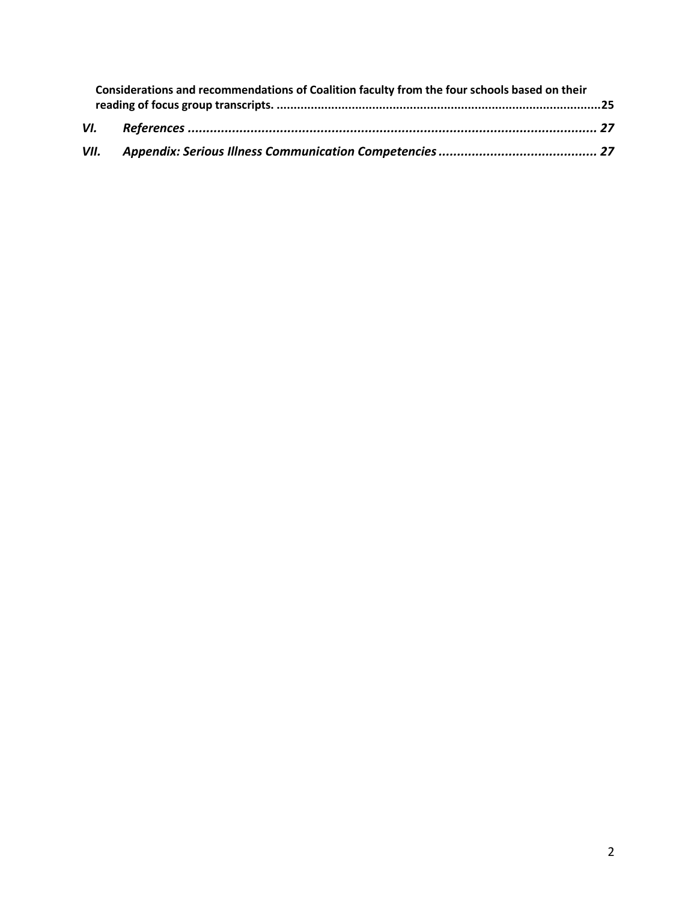| Considerations and recommendations of Coalition faculty from the four schools based on their |  |  |
|----------------------------------------------------------------------------------------------|--|--|
|                                                                                              |  |  |
| VII.                                                                                         |  |  |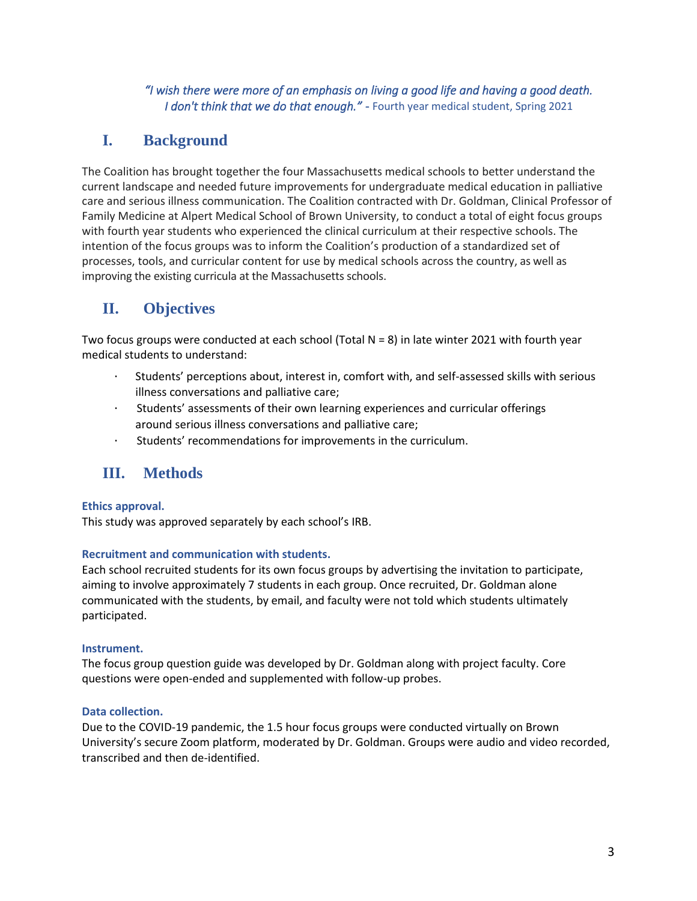## *"I wish there were more of an emphasis on living a good life and having a good death. I don't think that we do that enough."* - Fourth year medical student, Spring 2021

# <span id="page-2-0"></span>**I. Background**

The Coalition has brought together the four Massachusetts medical schools to better understand the current landscape and needed future improvements for undergraduate medical education in palliative care and serious illness communication. The Coalition contracted with Dr. Goldman, Clinical Professor of Family Medicine at Alpert Medical School of Brown University, to conduct a total of eight focus groups with fourth year students who experienced the clinical curriculum at their respective schools. The intention of the focus groups was to inform the Coalition's production of a standardized set of processes, tools, and curricular content for use by medical schools across the country, as well as improving the existing curricula at the Massachusetts schools.

# <span id="page-2-1"></span>**II. Objectives**

Two focus groups were conducted at each school (Total N = 8) in late winter 2021 with fourth year medical students to understand:

- Students' perceptions about, interest in, comfort with, and self-assessed skills with serious illness conversations and palliative care;
- · Students' assessments of their own learning experiences and curricular offerings around serious illness conversations and palliative care;
- · Students' recommendations for improvements in the curriculum.

# <span id="page-2-2"></span>**III. Methods**

## <span id="page-2-3"></span>**Ethics approval.**

This study was approved separately by each school's IRB.

### <span id="page-2-4"></span>**Recruitment and communication with students.**

Each school recruited students for its own focus groups by advertising the invitation to participate, aiming to involve approximately 7 students in each group. Once recruited, Dr. Goldman alone communicated with the students, by email, and faculty were not told which students ultimately participated.

### <span id="page-2-5"></span>**Instrument.**

The focus group question guide was developed by Dr. Goldman along with project faculty. Core questions were open-ended and supplemented with follow-up probes.

### <span id="page-2-6"></span>**Data collection.**

Due to the COVID-19 pandemic, the 1.5 hour focus groups were conducted virtually on Brown University's secure Zoom platform, moderated by Dr. Goldman. Groups were audio and video recorded, transcribed and then de-identified.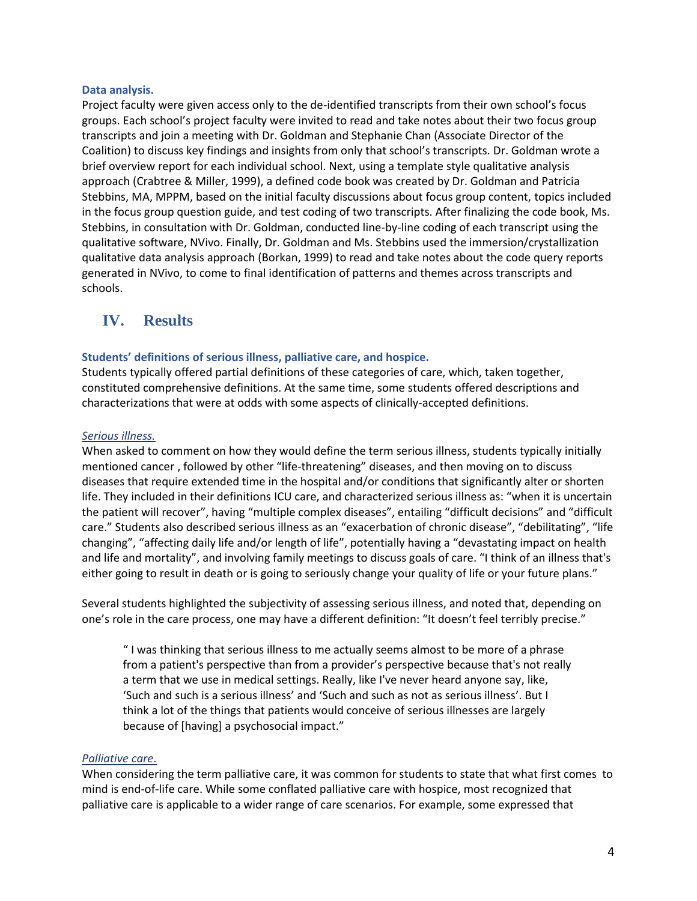### <span id="page-3-0"></span>**Data analysis.**

Project faculty were given access only to the de-identified transcripts from their own school's focus groups. Each school's project faculty were invited to read and take notes about their two focus group transcripts and join a meeting with Dr. Goldman and Stephanie Chan (Associate Director of the Coalition) to discuss key findings and insights from only that school's transcripts. Dr. Goldman wrote a brief overview report for each individual school. Next, using a template style qualitative analysis approach (Crabtree & Miller, 1999), a defined code book was created by Dr. Goldman and Patricia Stebbins, MA, MPPM, based on the initial faculty discussions about focus group content, topics included in the focus group question guide, and test coding of two transcripts. After finalizing the code book, Ms. Stebbins, in consultation with Dr. Goldman, conducted line-by-line coding of each transcript using the qualitative software, NVivo. Finally, Dr. Goldman and Ms. Stebbins used the immersion/crystallization qualitative data analysis approach (Borkan, 1999) to read and take notes about the code query reports generated in NVivo, to come to final identification of patterns and themes across transcripts and schools.

## <span id="page-3-1"></span>**IV. Results**

### <span id="page-3-2"></span>**Students' definitions of serious illness, palliative care, and hospice.**

Students typically offered partial definitions of these categories of care, which, taken together, constituted comprehensive definitions. At the same time, some students offered descriptions and characterizations that were at odds with some aspects of clinically-accepted definitions.

### <span id="page-3-3"></span>*Serious illness.*

When asked to comment on how they would define the term serious illness, students typically initially mentioned cancer , followed by other "life-threatening" diseases, and then moving on to discuss diseases that require extended time in the hospital and/or conditions that significantly alter or shorten life. They included in their definitions ICU care, and characterized serious illness as: "when it is uncertain the patient will recover", having "multiple complex diseases", entailing "difficult decisions" and "difficult care." Students also described serious illness as an "exacerbation of chronic disease", "debilitating", "life changing", "affecting daily life and/or length of life", potentially having a "devastating impact on health and life and mortality", and involving family meetings to discuss goals of care. "I think of an illness that's either going to result in death or is going to seriously change your quality of life or your future plans."

Several students highlighted the subjectivity of assessing serious illness, and noted that, depending on one's role in the care process, one may have a different definition: "It doesn't feel terribly precise."

" I was thinking that serious illness to me actually seems almost to be more of a phrase from a patient's perspective than from a provider's perspective because that's not really a term that we use in medical settings. Really, like I've never heard anyone say, like, 'Such and such is a serious illness' and 'Such and such as not as serious illness'. But I think a lot of the things that patients would conceive of serious illnesses are largely because of [having] a psychosocial impact."

#### <span id="page-3-4"></span>*Palliative care*.

When considering the term palliative care, it was common for students to state that what first comes to mind is end-of-life care. While some conflated palliative care with hospice, most recognized that palliative care is applicable to a wider range of care scenarios. For example, some expressed that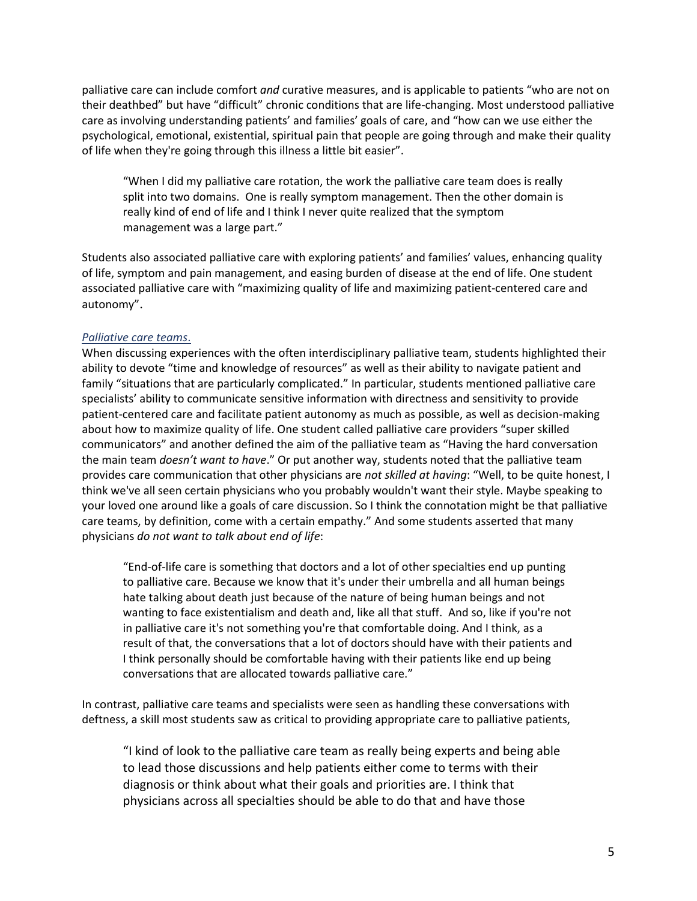palliative care can include comfort *and* curative measures, and is applicable to patients "who are not on their deathbed" but have "difficult" chronic conditions that are life-changing. Most understood palliative care as involving understanding patients' and families' goals of care, and "how can we use either the psychological, emotional, existential, spiritual pain that people are going through and make their quality of life when they're going through this illness a little bit easier".

"When I did my palliative care rotation, the work the palliative care team does is really split into two domains. One is really symptom management. Then the other domain is really kind of end of life and I think I never quite realized that the symptom management was a large part."

Students also associated palliative care with exploring patients' and families' values, enhancing quality of life, symptom and pain management, and easing burden of disease at the end of life. One student associated palliative care with "maximizing quality of life and maximizing patient-centered care and autonomy".

### <span id="page-4-0"></span>*Palliative care teams*.

When discussing experiences with the often interdisciplinary palliative team, students highlighted their ability to devote "time and knowledge of resources" as well as their ability to navigate patient and family "situations that are particularly complicated." In particular, students mentioned palliative care specialists' ability to communicate sensitive information with directness and sensitivity to provide patient-centered care and facilitate patient autonomy as much as possible, as well as decision-making about how to maximize quality of life. One student called palliative care providers "super skilled communicators" and another defined the aim of the palliative team as "Having the hard conversation the main team *doesn't want to have*." Or put another way, students noted that the palliative team provides care communication that other physicians are *not skilled at having*: "Well, to be quite honest, I think we've all seen certain physicians who you probably wouldn't want their style. Maybe speaking to your loved one around like a goals of care discussion. So I think the connotation might be that palliative care teams, by definition, come with a certain empathy." And some students asserted that many physicians *do not want to talk about end of life*:

"End-of-life care is something that doctors and a lot of other specialties end up punting to palliative care. Because we know that it's under their umbrella and all human beings hate talking about death just because of the nature of being human beings and not wanting to face existentialism and death and, like all that stuff. And so, like if you're not in palliative care it's not something you're that comfortable doing. And I think, as a result of that, the conversations that a lot of doctors should have with their patients and I think personally should be comfortable having with their patients like end up being conversations that are allocated towards palliative care."

In contrast, palliative care teams and specialists were seen as handling these conversations with deftness, a skill most students saw as critical to providing appropriate care to palliative patients,

"I kind of look to the palliative care team as really being experts and being able to lead those discussions and help patients either come to terms with their diagnosis or think about what their goals and priorities are. I think that physicians across all specialties should be able to do that and have those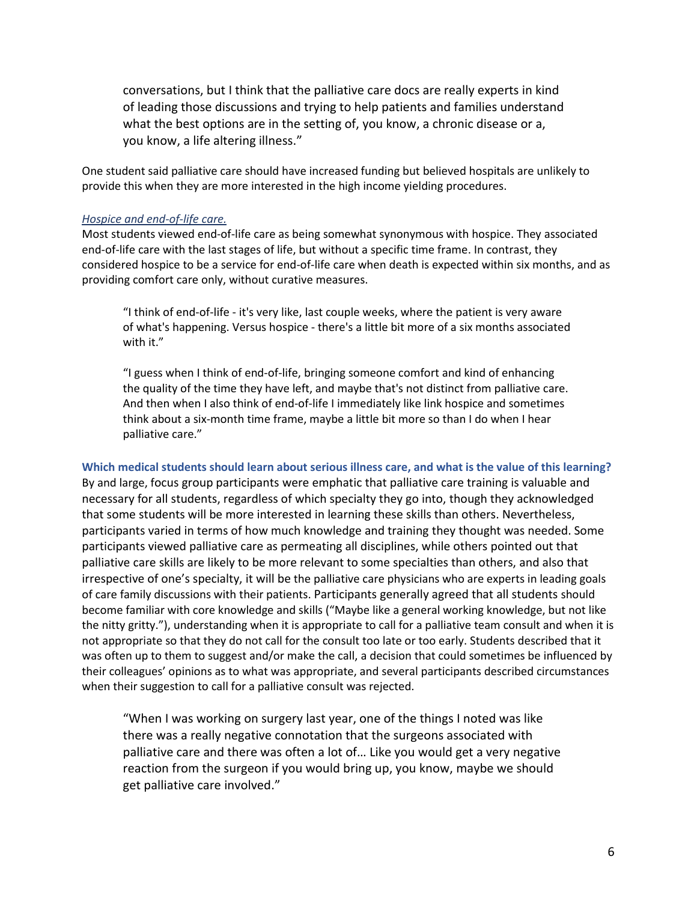conversations, but I think that the palliative care docs are really experts in kind of leading those discussions and trying to help patients and families understand what the best options are in the setting of, you know, a chronic disease or a, you know, a life altering illness."

One student said palliative care should have increased funding but believed hospitals are unlikely to provide this when they are more interested in the high income yielding procedures.

#### <span id="page-5-0"></span>*Hospice and end-of-life care.*

Most students viewed end-of-life care as being somewhat synonymous with hospice. They associated end-of-life care with the last stages of life, but without a specific time frame. In contrast, they considered hospice to be a service for end-of-life care when death is expected within six months, and as providing comfort care only, without curative measures.

"I think of end-of-life - it's very like, last couple weeks, where the patient is very aware of what's happening. Versus hospice - there's a little bit more of a six months associated with it."

"I guess when I think of end-of-life, bringing someone comfort and kind of enhancing the quality of the time they have left, and maybe that's not distinct from palliative care. And then when I also think of end-of-life I immediately like link hospice and sometimes think about a six-month time frame, maybe a little bit more so than I do when I hear palliative care."

<span id="page-5-1"></span>**Which medical students should learn about serious illness care, and what is the value of this learning?** By and large, focus group participants were emphatic that palliative care training is valuable and necessary for all students, regardless of which specialty they go into, though they acknowledged that some students will be more interested in learning these skills than others. Nevertheless, participants varied in terms of how much knowledge and training they thought was needed. Some participants viewed palliative care as permeating all disciplines, while others pointed out that palliative care skills are likely to be more relevant to some specialties than others, and also that irrespective of one's specialty, it will be the palliative care physicians who are experts in leading goals of care family discussions with their patients. Participants generally agreed that all students should become familiar with core knowledge and skills ("Maybe like a general working knowledge, but not like the nitty gritty."), understanding when it is appropriate to call for a palliative team consult and when it is not appropriate so that they do not call for the consult too late or too early. Students described that it was often up to them to suggest and/or make the call, a decision that could sometimes be influenced by their colleagues' opinions as to what was appropriate, and several participants described circumstances when their suggestion to call for a palliative consult was rejected.

"When I was working on surgery last year, one of the things I noted was like there was a really negative connotation that the surgeons associated with palliative care and there was often a lot of… Like you would get a very negative reaction from the surgeon if you would bring up, you know, maybe we should get palliative care involved."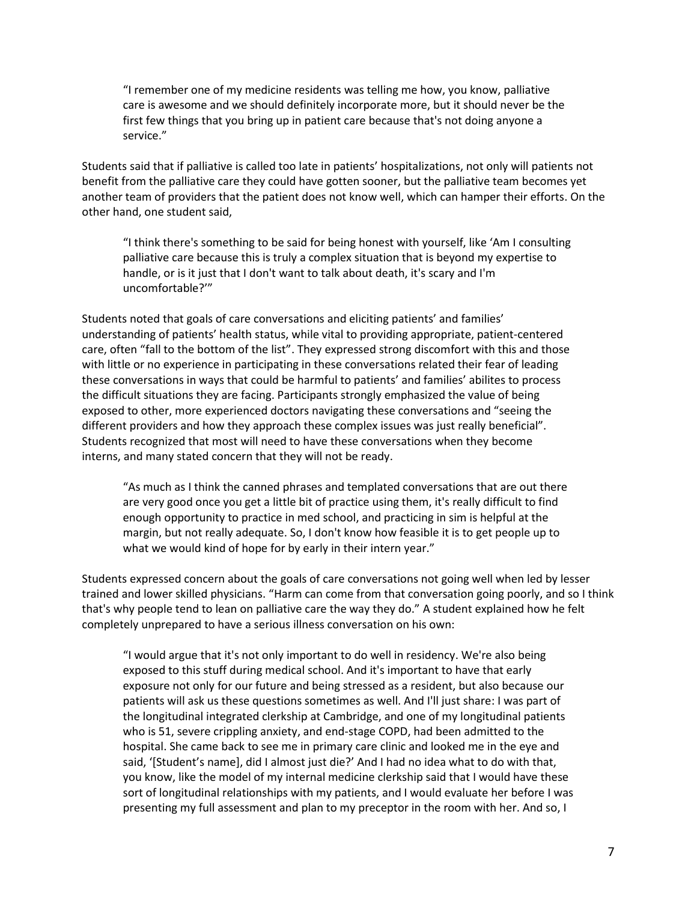"I remember one of my medicine residents was telling me how, you know, palliative care is awesome and we should definitely incorporate more, but it should never be the first few things that you bring up in patient care because that's not doing anyone a service."

Students said that if palliative is called too late in patients' hospitalizations, not only will patients not benefit from the palliative care they could have gotten sooner, but the palliative team becomes yet another team of providers that the patient does not know well, which can hamper their efforts. On the other hand, one student said,

"I think there's something to be said for being honest with yourself, like 'Am I consulting palliative care because this is truly a complex situation that is beyond my expertise to handle, or is it just that I don't want to talk about death, it's scary and I'm uncomfortable?'"

Students noted that goals of care conversations and eliciting patients' and families' understanding of patients' health status, while vital to providing appropriate, patient-centered care, often "fall to the bottom of the list". They expressed strong discomfort with this and those with little or no experience in participating in these conversations related their fear of leading these conversations in ways that could be harmful to patients' and families' abilites to process the difficult situations they are facing. Participants strongly emphasized the value of being exposed to other, more experienced doctors navigating these conversations and "seeing the different providers and how they approach these complex issues was just really beneficial". Students recognized that most will need to have these conversations when they become interns, and many stated concern that they will not be ready.

"As much as I think the canned phrases and templated conversations that are out there are very good once you get a little bit of practice using them, it's really difficult to find enough opportunity to practice in med school, and practicing in sim is helpful at the margin, but not really adequate. So, I don't know how feasible it is to get people up to what we would kind of hope for by early in their intern year."

Students expressed concern about the goals of care conversations not going well when led by lesser trained and lower skilled physicians. "Harm can come from that conversation going poorly, and so I think that's why people tend to lean on palliative care the way they do." A student explained how he felt completely unprepared to have a serious illness conversation on his own:

"I would argue that it's not only important to do well in residency. We're also being exposed to this stuff during medical school. And it's important to have that early exposure not only for our future and being stressed as a resident, but also because our patients will ask us these questions sometimes as well. And I'll just share: I was part of the longitudinal integrated clerkship at Cambridge, and one of my longitudinal patients who is 51, severe crippling anxiety, and end-stage COPD, had been admitted to the hospital. She came back to see me in primary care clinic and looked me in the eye and said, '[Student's name], did I almost just die?' And I had no idea what to do with that, you know, like the model of my internal medicine clerkship said that I would have these sort of longitudinal relationships with my patients, and I would evaluate her before I was presenting my full assessment and plan to my preceptor in the room with her. And so, I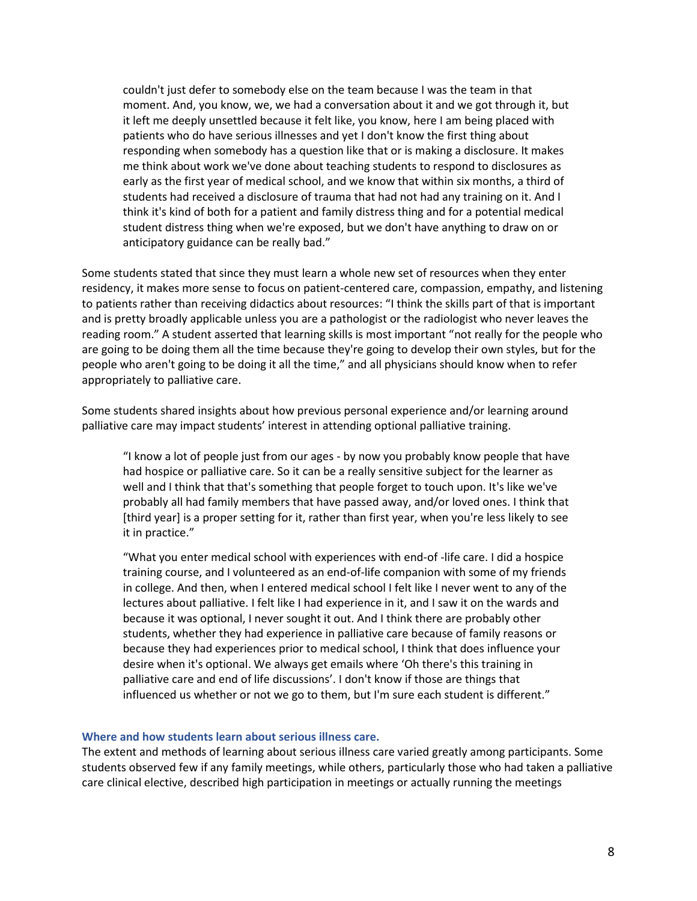couldn't just defer to somebody else on the team because I was the team in that moment. And, you know, we, we had a conversation about it and we got through it, but it left me deeply unsettled because it felt like, you know, here I am being placed with patients who do have serious illnesses and yet I don't know the first thing about responding when somebody has a question like that or is making a disclosure. It makes me think about work we've done about teaching students to respond to disclosures as early as the first year of medical school, and we know that within six months, a third of students had received a disclosure of trauma that had not had any training on it. And I think it's kind of both for a patient and family distress thing and for a potential medical student distress thing when we're exposed, but we don't have anything to draw on or anticipatory guidance can be really bad."

Some students stated that since they must learn a whole new set of resources when they enter residency, it makes more sense to focus on patient-centered care, compassion, empathy, and listening to patients rather than receiving didactics about resources: "I think the skills part of that is important and is pretty broadly applicable unless you are a pathologist or the radiologist who never leaves the reading room." A student asserted that learning skills is most important "not really for the people who are going to be doing them all the time because they're going to develop their own styles, but for the people who aren't going to be doing it all the time," and all physicians should know when to refer appropriately to palliative care.

Some students shared insights about how previous personal experience and/or learning around palliative care may impact students' interest in attending optional palliative training.

"I know a lot of people just from our ages - by now you probably know people that have had hospice or palliative care. So it can be a really sensitive subject for the learner as well and I think that that's something that people forget to touch upon. It's like we've probably all had family members that have passed away, and/or loved ones. I think that [third year] is a proper setting for it, rather than first year, when you're less likely to see it in practice."

"What you enter medical school with experiences with end-of -life care. I did a hospice training course, and I volunteered as an end-of-life companion with some of my friends in college. And then, when I entered medical school I felt like I never went to any of the lectures about palliative. I felt like I had experience in it, and I saw it on the wards and because it was optional, I never sought it out. And I think there are probably other students, whether they had experience in palliative care because of family reasons or because they had experiences prior to medical school, I think that does influence your desire when it's optional. We always get emails where 'Oh there's this training in palliative care and end of life discussions'. I don't know if those are things that influenced us whether or not we go to them, but I'm sure each student is different."

#### <span id="page-7-0"></span>**Where and how students learn about serious illness care.**

The extent and methods of learning about serious illness care varied greatly among participants. Some students observed few if any family meetings, while others, particularly those who had taken a palliative care clinical elective, described high participation in meetings or actually running the meetings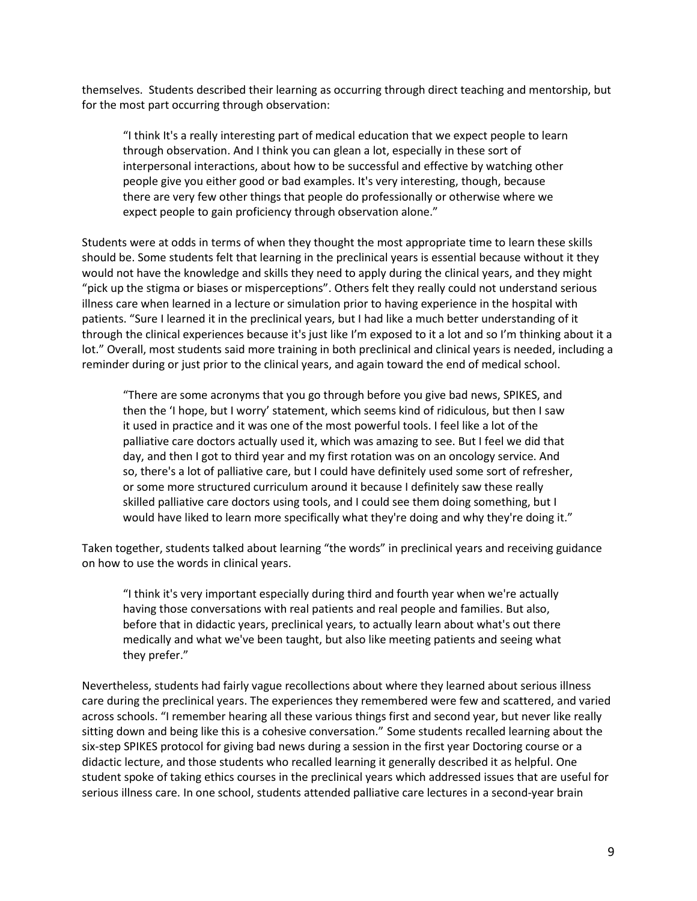themselves. Students described their learning as occurring through direct teaching and mentorship, but for the most part occurring through observation:

"I think It's a really interesting part of medical education that we expect people to learn through observation. And I think you can glean a lot, especially in these sort of interpersonal interactions, about how to be successful and effective by watching other people give you either good or bad examples. It's very interesting, though, because there are very few other things that people do professionally or otherwise where we expect people to gain proficiency through observation alone."

Students were at odds in terms of when they thought the most appropriate time to learn these skills should be. Some students felt that learning in the preclinical years is essential because without it they would not have the knowledge and skills they need to apply during the clinical years, and they might "pick up the stigma or biases or misperceptions". Others felt they really could not understand serious illness care when learned in a lecture or simulation prior to having experience in the hospital with patients. "Sure I learned it in the preclinical years, but I had like a much better understanding of it through the clinical experiences because it's just like I'm exposed to it a lot and so I'm thinking about it a lot." Overall, most students said more training in both preclinical and clinical years is needed, including a reminder during or just prior to the clinical years, and again toward the end of medical school.

"There are some acronyms that you go through before you give bad news, SPIKES, and then the 'I hope, but I worry' statement, which seems kind of ridiculous, but then I saw it used in practice and it was one of the most powerful tools. I feel like a lot of the palliative care doctors actually used it, which was amazing to see. But I feel we did that day, and then I got to third year and my first rotation was on an oncology service. And so, there's a lot of palliative care, but I could have definitely used some sort of refresher, or some more structured curriculum around it because I definitely saw these really skilled palliative care doctors using tools, and I could see them doing something, but I would have liked to learn more specifically what they're doing and why they're doing it."

Taken together, students talked about learning "the words" in preclinical years and receiving guidance on how to use the words in clinical years.

"I think it's very important especially during third and fourth year when we're actually having those conversations with real patients and real people and families. But also, before that in didactic years, preclinical years, to actually learn about what's out there medically and what we've been taught, but also like meeting patients and seeing what they prefer."

Nevertheless, students had fairly vague recollections about where they learned about serious illness care during the preclinical years. The experiences they remembered were few and scattered, and varied across schools. "I remember hearing all these various things first and second year, but never like really sitting down and being like this is a cohesive conversation." Some students recalled learning about the six-step SPIKES protocol for giving bad news during a session in the first year Doctoring course or a didactic lecture, and those students who recalled learning it generally described it as helpful. One student spoke of taking ethics courses in the preclinical years which addressed issues that are useful for serious illness care. In one school, students attended palliative care lectures in a second-year brain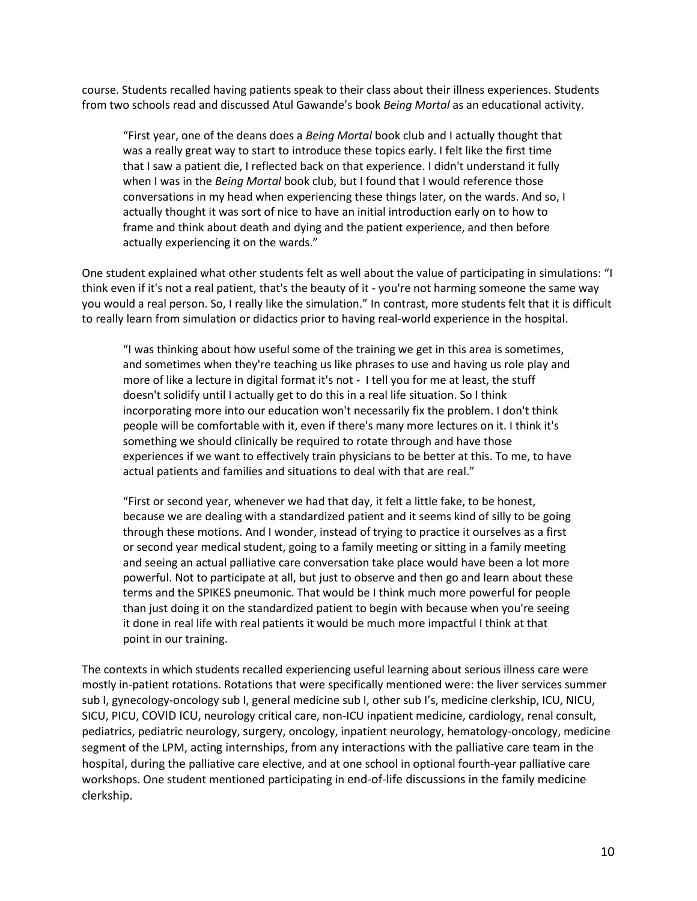course. Students recalled having patients speak to their class about their illness experiences. Students from two schools read and discussed Atul Gawande's book *Being Mortal* as an educational activity.

"First year, one of the deans does a *Being Mortal* book club and I actually thought that was a really great way to start to introduce these topics early. I felt like the first time that I saw a patient die, I reflected back on that experience. I didn't understand it fully when I was in the *Being Mortal* book club, but I found that I would reference those conversations in my head when experiencing these things later, on the wards. And so, I actually thought it was sort of nice to have an initial introduction early on to how to frame and think about death and dying and the patient experience, and then before actually experiencing it on the wards."

One student explained what other students felt as well about the value of participating in simulations: "I think even if it's not a real patient, that's the beauty of it - you're not harming someone the same way you would a real person. So, I really like the simulation." In contrast, more students felt that it is difficult to really learn from simulation or didactics prior to having real-world experience in the hospital.

"I was thinking about how useful some of the training we get in this area is sometimes, and sometimes when they're teaching us like phrases to use and having us role play and more of like a lecture in digital format it's not - I tell you for me at least, the stuff doesn't solidify until I actually get to do this in a real life situation. So I think incorporating more into our education won't necessarily fix the problem. I don't think people will be comfortable with it, even if there's many more lectures on it. I think it's something we should clinically be required to rotate through and have those experiences if we want to effectively train physicians to be better at this. To me, to have actual patients and families and situations to deal with that are real."

"First or second year, whenever we had that day, it felt a little fake, to be honest, because we are dealing with a standardized patient and it seems kind of silly to be going through these motions. And I wonder, instead of trying to practice it ourselves as a first or second year medical student, going to a family meeting or sitting in a family meeting and seeing an actual palliative care conversation take place would have been a lot more powerful. Not to participate at all, but just to observe and then go and learn about these terms and the SPIKES pneumonic. That would be I think much more powerful for people than just doing it on the standardized patient to begin with because when you're seeing it done in real life with real patients it would be much more impactful I think at that point in our training.

The contexts in which students recalled experiencing useful learning about serious illness care were mostly in-patient rotations. Rotations that were specifically mentioned were: the liver services summer sub I, gynecology-oncology sub I, general medicine sub I, other sub I's, medicine clerkship, ICU, NICU, SICU, PICU, COVID ICU, neurology critical care, non-ICU inpatient medicine, cardiology, renal consult, pediatrics, pediatric neurology, surgery, oncology, inpatient neurology, hematology-oncology, medicine segment of the LPM, acting internships, from any interactions with the palliative care team in the hospital, during the palliative care elective, and at one school in optional fourth-year palliative care workshops. One student mentioned participating in end-of-life discussions in the family medicine clerkship.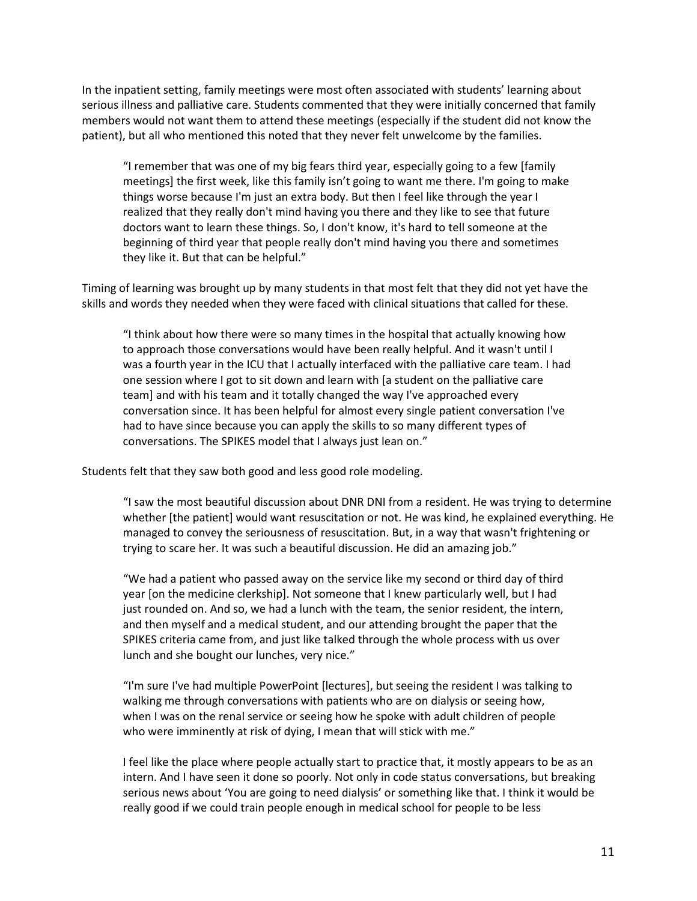In the inpatient setting, family meetings were most often associated with students' learning about serious illness and palliative care. Students commented that they were initially concerned that family members would not want them to attend these meetings (especially if the student did not know the patient), but all who mentioned this noted that they never felt unwelcome by the families.

"I remember that was one of my big fears third year, especially going to a few [family meetings] the first week, like this family isn't going to want me there. I'm going to make things worse because I'm just an extra body. But then I feel like through the year I realized that they really don't mind having you there and they like to see that future doctors want to learn these things. So, I don't know, it's hard to tell someone at the beginning of third year that people really don't mind having you there and sometimes they like it. But that can be helpful."

Timing of learning was brought up by many students in that most felt that they did not yet have the skills and words they needed when they were faced with clinical situations that called for these.

"I think about how there were so many times in the hospital that actually knowing how to approach those conversations would have been really helpful. And it wasn't until I was a fourth year in the ICU that I actually interfaced with the palliative care team. I had one session where I got to sit down and learn with [a student on the palliative care team] and with his team and it totally changed the way I've approached every conversation since. It has been helpful for almost every single patient conversation I've had to have since because you can apply the skills to so many different types of conversations. The SPIKES model that I always just lean on."

Students felt that they saw both good and less good role modeling.

"I saw the most beautiful discussion about DNR DNI from a resident. He was trying to determine whether [the patient] would want resuscitation or not. He was kind, he explained everything. He managed to convey the seriousness of resuscitation. But, in a way that wasn't frightening or trying to scare her. It was such a beautiful discussion. He did an amazing job."

"We had a patient who passed away on the service like my second or third day of third year [on the medicine clerkship]. Not someone that I knew particularly well, but I had just rounded on. And so, we had a lunch with the team, the senior resident, the intern, and then myself and a medical student, and our attending brought the paper that the SPIKES criteria came from, and just like talked through the whole process with us over lunch and she bought our lunches, very nice."

"I'm sure I've had multiple PowerPoint [lectures], but seeing the resident I was talking to walking me through conversations with patients who are on dialysis or seeing how, when I was on the renal service or seeing how he spoke with adult children of people who were imminently at risk of dying, I mean that will stick with me."

I feel like the place where people actually start to practice that, it mostly appears to be as an intern. And I have seen it done so poorly. Not only in code status conversations, but breaking serious news about 'You are going to need dialysis' or something like that. I think it would be really good if we could train people enough in medical school for people to be less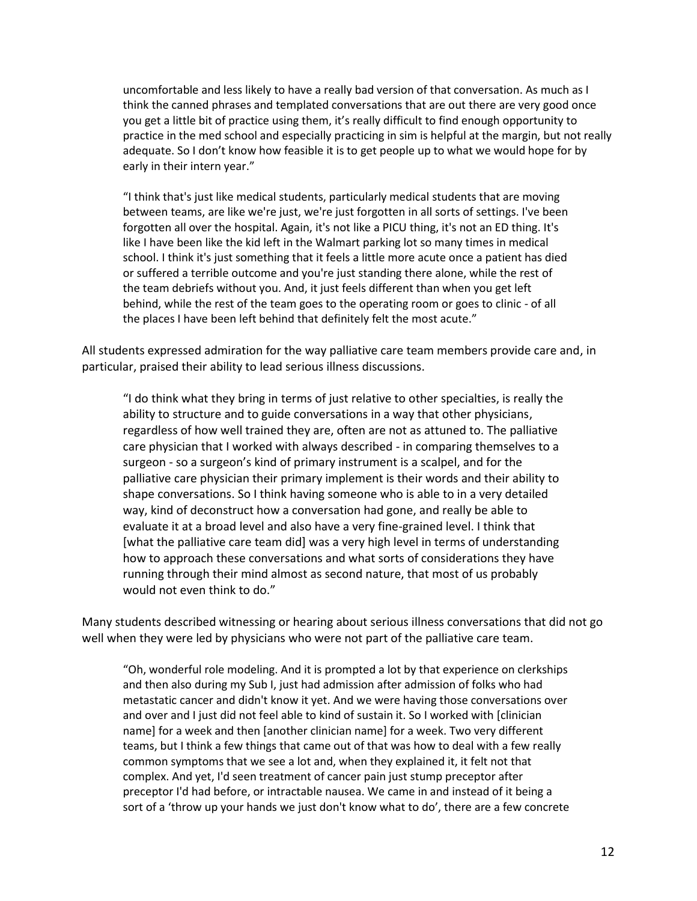uncomfortable and less likely to have a really bad version of that conversation. As much as I think the canned phrases and templated conversations that are out there are very good once you get a little bit of practice using them, it's really difficult to find enough opportunity to practice in the med school and especially practicing in sim is helpful at the margin, but not really adequate. So I don't know how feasible it is to get people up to what we would hope for by early in their intern year."

"I think that's just like medical students, particularly medical students that are moving between teams, are like we're just, we're just forgotten in all sorts of settings. I've been forgotten all over the hospital. Again, it's not like a PICU thing, it's not an ED thing. It's like I have been like the kid left in the Walmart parking lot so many times in medical school. I think it's just something that it feels a little more acute once a patient has died or suffered a terrible outcome and you're just standing there alone, while the rest of the team debriefs without you. And, it just feels different than when you get left behind, while the rest of the team goes to the operating room or goes to clinic - of all the places I have been left behind that definitely felt the most acute."

All students expressed admiration for the way palliative care team members provide care and, in particular, praised their ability to lead serious illness discussions.

"I do think what they bring in terms of just relative to other specialties, is really the ability to structure and to guide conversations in a way that other physicians, regardless of how well trained they are, often are not as attuned to. The palliative care physician that I worked with always described - in comparing themselves to a surgeon - so a surgeon's kind of primary instrument is a scalpel, and for the palliative care physician their primary implement is their words and their ability to shape conversations. So I think having someone who is able to in a very detailed way, kind of deconstruct how a conversation had gone, and really be able to evaluate it at a broad level and also have a very fine-grained level. I think that [what the palliative care team did] was a very high level in terms of understanding how to approach these conversations and what sorts of considerations they have running through their mind almost as second nature, that most of us probably would not even think to do."

Many students described witnessing or hearing about serious illness conversations that did not go well when they were led by physicians who were not part of the palliative care team.

"Oh, wonderful role modeling. And it is prompted a lot by that experience on clerkships and then also during my Sub I, just had admission after admission of folks who had metastatic cancer and didn't know it yet. And we were having those conversations over and over and I just did not feel able to kind of sustain it. So I worked with [clinician name] for a week and then [another clinician name] for a week. Two very different teams, but I think a few things that came out of that was how to deal with a few really common symptoms that we see a lot and, when they explained it, it felt not that complex. And yet, I'd seen treatment of cancer pain just stump preceptor after preceptor I'd had before, or intractable nausea. We came in and instead of it being a sort of a 'throw up your hands we just don't know what to do', there are a few concrete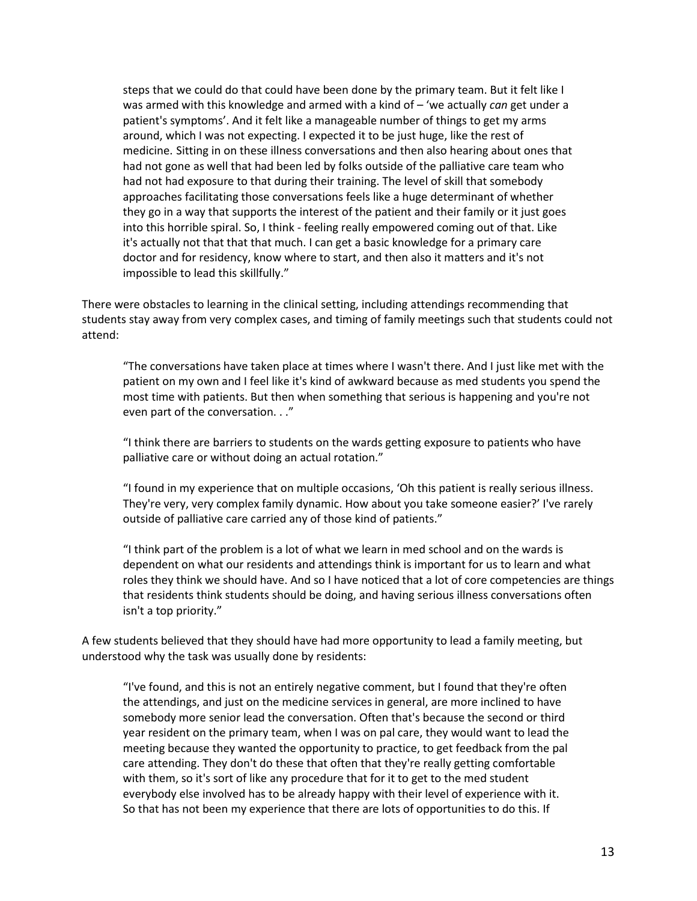steps that we could do that could have been done by the primary team. But it felt like I was armed with this knowledge and armed with a kind of – 'we actually *can* get under a patient's symptoms'. And it felt like a manageable number of things to get my arms around, which I was not expecting. I expected it to be just huge, like the rest of medicine. Sitting in on these illness conversations and then also hearing about ones that had not gone as well that had been led by folks outside of the palliative care team who had not had exposure to that during their training. The level of skill that somebody approaches facilitating those conversations feels like a huge determinant of whether they go in a way that supports the interest of the patient and their family or it just goes into this horrible spiral. So, I think - feeling really empowered coming out of that. Like it's actually not that that that much. I can get a basic knowledge for a primary care doctor and for residency, know where to start, and then also it matters and it's not impossible to lead this skillfully."

There were obstacles to learning in the clinical setting, including attendings recommending that students stay away from very complex cases, and timing of family meetings such that students could not attend:

"The conversations have taken place at times where I wasn't there. And I just like met with the patient on my own and I feel like it's kind of awkward because as med students you spend the most time with patients. But then when something that serious is happening and you're not even part of the conversation. . ."

"I think there are barriers to students on the wards getting exposure to patients who have palliative care or without doing an actual rotation."

"I found in my experience that on multiple occasions, 'Oh this patient is really serious illness. They're very, very complex family dynamic. How about you take someone easier?' I've rarely outside of palliative care carried any of those kind of patients."

"I think part of the problem is a lot of what we learn in med school and on the wards is dependent on what our residents and attendings think is important for us to learn and what roles they think we should have. And so I have noticed that a lot of core competencies are things that residents think students should be doing, and having serious illness conversations often isn't a top priority."

A few students believed that they should have had more opportunity to lead a family meeting, but understood why the task was usually done by residents:

"I've found, and this is not an entirely negative comment, but I found that they're often the attendings, and just on the medicine services in general, are more inclined to have somebody more senior lead the conversation. Often that's because the second or third year resident on the primary team, when I was on pal care, they would want to lead the meeting because they wanted the opportunity to practice, to get feedback from the pal care attending. They don't do these that often that they're really getting comfortable with them, so it's sort of like any procedure that for it to get to the med student everybody else involved has to be already happy with their level of experience with it. So that has not been my experience that there are lots of opportunities to do this. If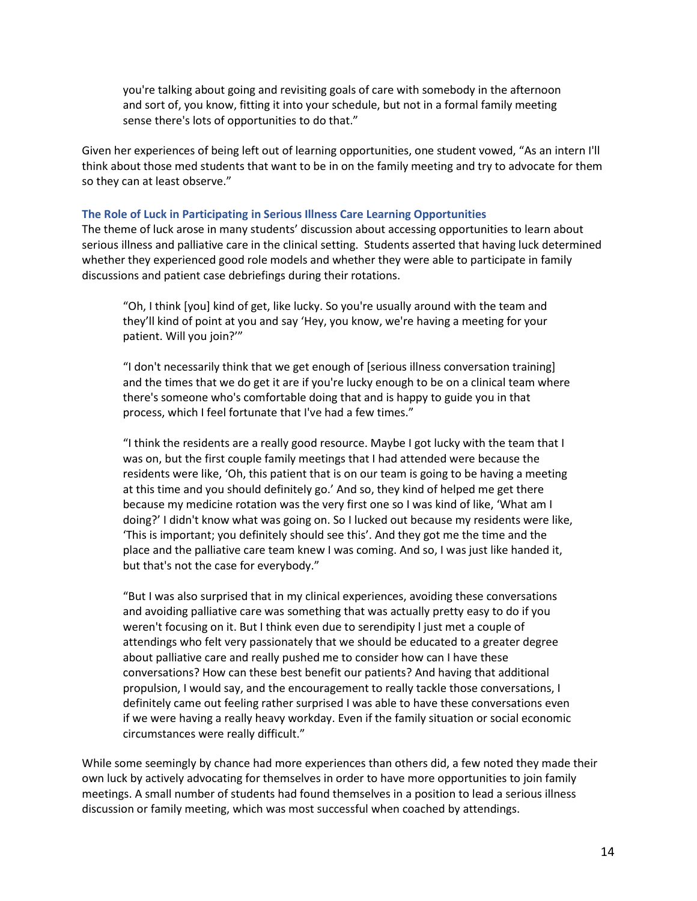you're talking about going and revisiting goals of care with somebody in the afternoon and sort of, you know, fitting it into your schedule, but not in a formal family meeting sense there's lots of opportunities to do that."

Given her experiences of being left out of learning opportunities, one student vowed, "As an intern I'll think about those med students that want to be in on the family meeting and try to advocate for them so they can at least observe."

#### <span id="page-13-0"></span>**The Role of Luck in Participating in Serious Illness Care Learning Opportunities**

The theme of luck arose in many students' discussion about accessing opportunities to learn about serious illness and palliative care in the clinical setting. Students asserted that having luck determined whether they experienced good role models and whether they were able to participate in family discussions and patient case debriefings during their rotations.

"Oh, I think [you] kind of get, like lucky. So you're usually around with the team and they'll kind of point at you and say 'Hey, you know, we're having a meeting for your patient. Will you join?'"

"I don't necessarily think that we get enough of [serious illness conversation training] and the times that we do get it are if you're lucky enough to be on a clinical team where there's someone who's comfortable doing that and is happy to guide you in that process, which I feel fortunate that I've had a few times."

"I think the residents are a really good resource. Maybe I got lucky with the team that I was on, but the first couple family meetings that I had attended were because the residents were like, 'Oh, this patient that is on our team is going to be having a meeting at this time and you should definitely go.' And so, they kind of helped me get there because my medicine rotation was the very first one so I was kind of like, 'What am I doing?' I didn't know what was going on. So I lucked out because my residents were like, 'This is important; you definitely should see this'. And they got me the time and the place and the palliative care team knew I was coming. And so, I was just like handed it, but that's not the case for everybody."

"But I was also surprised that in my clinical experiences, avoiding these conversations and avoiding palliative care was something that was actually pretty easy to do if you weren't focusing on it. But I think even due to serendipity l just met a couple of attendings who felt very passionately that we should be educated to a greater degree about palliative care and really pushed me to consider how can I have these conversations? How can these best benefit our patients? And having that additional propulsion, I would say, and the encouragement to really tackle those conversations, I definitely came out feeling rather surprised I was able to have these conversations even if we were having a really heavy workday. Even if the family situation or social economic circumstances were really difficult."

While some seemingly by chance had more experiences than others did, a few noted they made their own luck by actively advocating for themselves in order to have more opportunities to join family meetings. A small number of students had found themselves in a position to lead a serious illness discussion or family meeting, which was most successful when coached by attendings.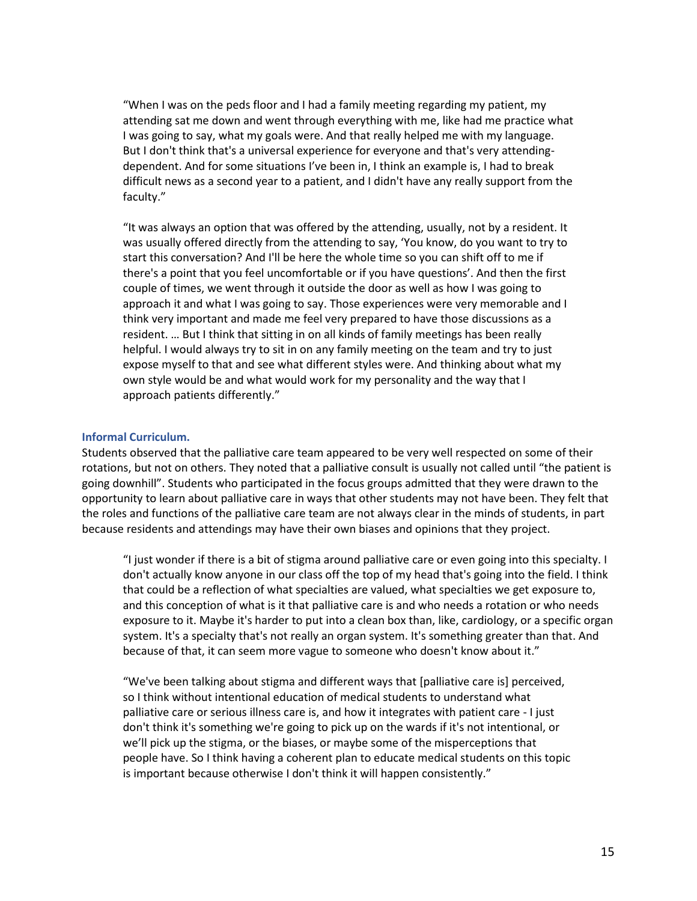"When I was on the peds floor and I had a family meeting regarding my patient, my attending sat me down and went through everything with me, like had me practice what I was going to say, what my goals were. And that really helped me with my language. But I don't think that's a universal experience for everyone and that's very attendingdependent. And for some situations I've been in, I think an example is, I had to break difficult news as a second year to a patient, and I didn't have any really support from the faculty."

"It was always an option that was offered by the attending, usually, not by a resident. It was usually offered directly from the attending to say, 'You know, do you want to try to start this conversation? And I'll be here the whole time so you can shift off to me if there's a point that you feel uncomfortable or if you have questions'. And then the first couple of times, we went through it outside the door as well as how I was going to approach it and what I was going to say. Those experiences were very memorable and I think very important and made me feel very prepared to have those discussions as a resident. … But I think that sitting in on all kinds of family meetings has been really helpful. I would always try to sit in on any family meeting on the team and try to just expose myself to that and see what different styles were. And thinking about what my own style would be and what would work for my personality and the way that I approach patients differently."

#### <span id="page-14-0"></span>**Informal Curriculum.**

Students observed that the palliative care team appeared to be very well respected on some of their rotations, but not on others. They noted that a palliative consult is usually not called until "the patient is going downhill". Students who participated in the focus groups admitted that they were drawn to the opportunity to learn about palliative care in ways that other students may not have been. They felt that the roles and functions of the palliative care team are not always clear in the minds of students, in part because residents and attendings may have their own biases and opinions that they project.

"I just wonder if there is a bit of stigma around palliative care or even going into this specialty. I don't actually know anyone in our class off the top of my head that's going into the field. I think that could be a reflection of what specialties are valued, what specialties we get exposure to, and this conception of what is it that palliative care is and who needs a rotation or who needs exposure to it. Maybe it's harder to put into a clean box than, like, cardiology, or a specific organ system. It's a specialty that's not really an organ system. It's something greater than that. And because of that, it can seem more vague to someone who doesn't know about it."

"We've been talking about stigma and different ways that [palliative care is] perceived, so I think without intentional education of medical students to understand what palliative care or serious illness care is, and how it integrates with patient care - I just don't think it's something we're going to pick up on the wards if it's not intentional, or we'll pick up the stigma, or the biases, or maybe some of the misperceptions that people have. So I think having a coherent plan to educate medical students on this topic is important because otherwise I don't think it will happen consistently."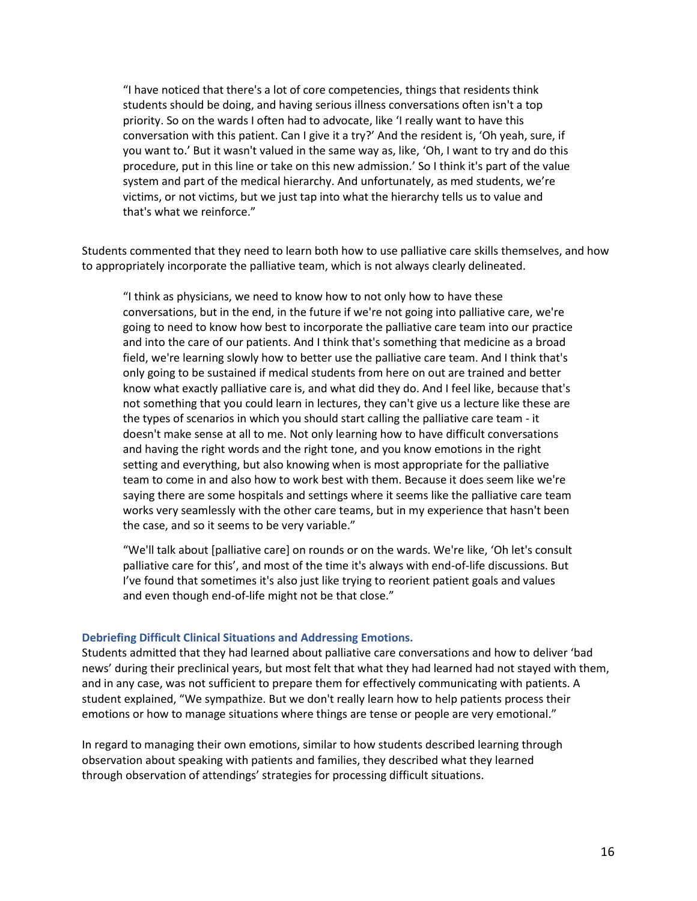"I have noticed that there's a lot of core competencies, things that residents think students should be doing, and having serious illness conversations often isn't a top priority. So on the wards I often had to advocate, like 'I really want to have this conversation with this patient. Can I give it a try?' And the resident is, 'Oh yeah, sure, if you want to.' But it wasn't valued in the same way as, like, 'Oh, I want to try and do this procedure, put in this line or take on this new admission.' So I think it's part of the value system and part of the medical hierarchy. And unfortunately, as med students, we're victims, or not victims, but we just tap into what the hierarchy tells us to value and that's what we reinforce."

Students commented that they need to learn both how to use palliative care skills themselves, and how to appropriately incorporate the palliative team, which is not always clearly delineated.

"I think as physicians, we need to know how to not only how to have these conversations, but in the end, in the future if we're not going into palliative care, we're going to need to know how best to incorporate the palliative care team into our practice and into the care of our patients. And I think that's something that medicine as a broad field, we're learning slowly how to better use the palliative care team. And I think that's only going to be sustained if medical students from here on out are trained and better know what exactly palliative care is, and what did they do. And I feel like, because that's not something that you could learn in lectures, they can't give us a lecture like these are the types of scenarios in which you should start calling the palliative care team - it doesn't make sense at all to me. Not only learning how to have difficult conversations and having the right words and the right tone, and you know emotions in the right setting and everything, but also knowing when is most appropriate for the palliative team to come in and also how to work best with them. Because it does seem like we're saying there are some hospitals and settings where it seems like the palliative care team works very seamlessly with the other care teams, but in my experience that hasn't been the case, and so it seems to be very variable."

"We'll talk about [palliative care] on rounds or on the wards. We're like, 'Oh let's consult palliative care for this', and most of the time it's always with end-of-life discussions. But I've found that sometimes it's also just like trying to reorient patient goals and values and even though end-of-life might not be that close."

#### <span id="page-15-0"></span>**Debriefing Difficult Clinical Situations and Addressing Emotions.**

Students admitted that they had learned about palliative care conversations and how to deliver 'bad news' during their preclinical years, but most felt that what they had learned had not stayed with them, and in any case, was not sufficient to prepare them for effectively communicating with patients. A student explained, "We sympathize. But we don't really learn how to help patients process their emotions or how to manage situations where things are tense or people are very emotional."

In regard to managing their own emotions, similar to how students described learning through observation about speaking with patients and families, they described what they learned through observation of attendings' strategies for processing difficult situations.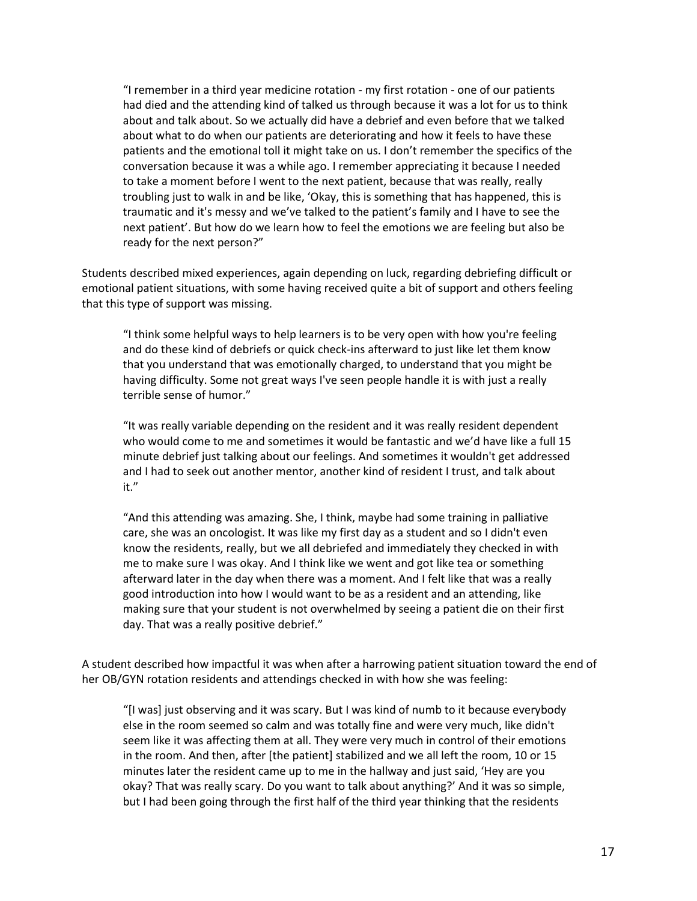"I remember in a third year medicine rotation - my first rotation - one of our patients had died and the attending kind of talked us through because it was a lot for us to think about and talk about. So we actually did have a debrief and even before that we talked about what to do when our patients are deteriorating and how it feels to have these patients and the emotional toll it might take on us. I don't remember the specifics of the conversation because it was a while ago. I remember appreciating it because I needed to take a moment before I went to the next patient, because that was really, really troubling just to walk in and be like, 'Okay, this is something that has happened, this is traumatic and it's messy and we've talked to the patient's family and I have to see the next patient'. But how do we learn how to feel the emotions we are feeling but also be ready for the next person?"

Students described mixed experiences, again depending on luck, regarding debriefing difficult or emotional patient situations, with some having received quite a bit of support and others feeling that this type of support was missing.

"I think some helpful ways to help learners is to be very open with how you're feeling and do these kind of debriefs or quick check-ins afterward to just like let them know that you understand that was emotionally charged, to understand that you might be having difficulty. Some not great ways I've seen people handle it is with just a really terrible sense of humor."

"It was really variable depending on the resident and it was really resident dependent who would come to me and sometimes it would be fantastic and we'd have like a full 15 minute debrief just talking about our feelings. And sometimes it wouldn't get addressed and I had to seek out another mentor, another kind of resident I trust, and talk about it."

"And this attending was amazing. She, I think, maybe had some training in palliative care, she was an oncologist. It was like my first day as a student and so I didn't even know the residents, really, but we all debriefed and immediately they checked in with me to make sure I was okay. And I think like we went and got like tea or something afterward later in the day when there was a moment. And I felt like that was a really good introduction into how I would want to be as a resident and an attending, like making sure that your student is not overwhelmed by seeing a patient die on their first day. That was a really positive debrief."

A student described how impactful it was when after a harrowing patient situation toward the end of her OB/GYN rotation residents and attendings checked in with how she was feeling:

"[I was] just observing and it was scary. But I was kind of numb to it because everybody else in the room seemed so calm and was totally fine and were very much, like didn't seem like it was affecting them at all. They were very much in control of their emotions in the room. And then, after [the patient] stabilized and we all left the room, 10 or 15 minutes later the resident came up to me in the hallway and just said, 'Hey are you okay? That was really scary. Do you want to talk about anything?' And it was so simple, but I had been going through the first half of the third year thinking that the residents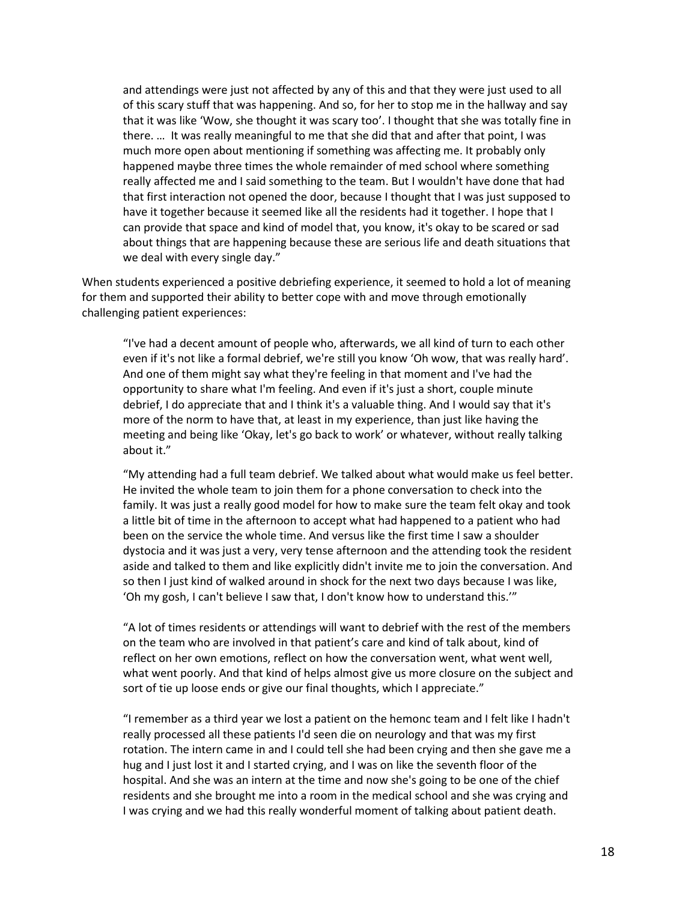and attendings were just not affected by any of this and that they were just used to all of this scary stuff that was happening. And so, for her to stop me in the hallway and say that it was like 'Wow, she thought it was scary too'. I thought that she was totally fine in there. … It was really meaningful to me that she did that and after that point, I was much more open about mentioning if something was affecting me. It probably only happened maybe three times the whole remainder of med school where something really affected me and I said something to the team. But I wouldn't have done that had that first interaction not opened the door, because I thought that I was just supposed to have it together because it seemed like all the residents had it together. I hope that I can provide that space and kind of model that, you know, it's okay to be scared or sad about things that are happening because these are serious life and death situations that we deal with every single day."

When students experienced a positive debriefing experience, it seemed to hold a lot of meaning for them and supported their ability to better cope with and move through emotionally challenging patient experiences:

"I've had a decent amount of people who, afterwards, we all kind of turn to each other even if it's not like a formal debrief, we're still you know 'Oh wow, that was really hard'. And one of them might say what they're feeling in that moment and I've had the opportunity to share what I'm feeling. And even if it's just a short, couple minute debrief, I do appreciate that and I think it's a valuable thing. And I would say that it's more of the norm to have that, at least in my experience, than just like having the meeting and being like 'Okay, let's go back to work' or whatever, without really talking about it."

"My attending had a full team debrief. We talked about what would make us feel better. He invited the whole team to join them for a phone conversation to check into the family. It was just a really good model for how to make sure the team felt okay and took a little bit of time in the afternoon to accept what had happened to a patient who had been on the service the whole time. And versus like the first time I saw a shoulder dystocia and it was just a very, very tense afternoon and the attending took the resident aside and talked to them and like explicitly didn't invite me to join the conversation. And so then I just kind of walked around in shock for the next two days because I was like, 'Oh my gosh, I can't believe I saw that, I don't know how to understand this.'"

"A lot of times residents or attendings will want to debrief with the rest of the members on the team who are involved in that patient's care and kind of talk about, kind of reflect on her own emotions, reflect on how the conversation went, what went well, what went poorly. And that kind of helps almost give us more closure on the subject and sort of tie up loose ends or give our final thoughts, which I appreciate."

"I remember as a third year we lost a patient on the hemonc team and I felt like I hadn't really processed all these patients I'd seen die on neurology and that was my first rotation. The intern came in and I could tell she had been crying and then she gave me a hug and I just lost it and I started crying, and I was on like the seventh floor of the hospital. And she was an intern at the time and now she's going to be one of the chief residents and she brought me into a room in the medical school and she was crying and I was crying and we had this really wonderful moment of talking about patient death.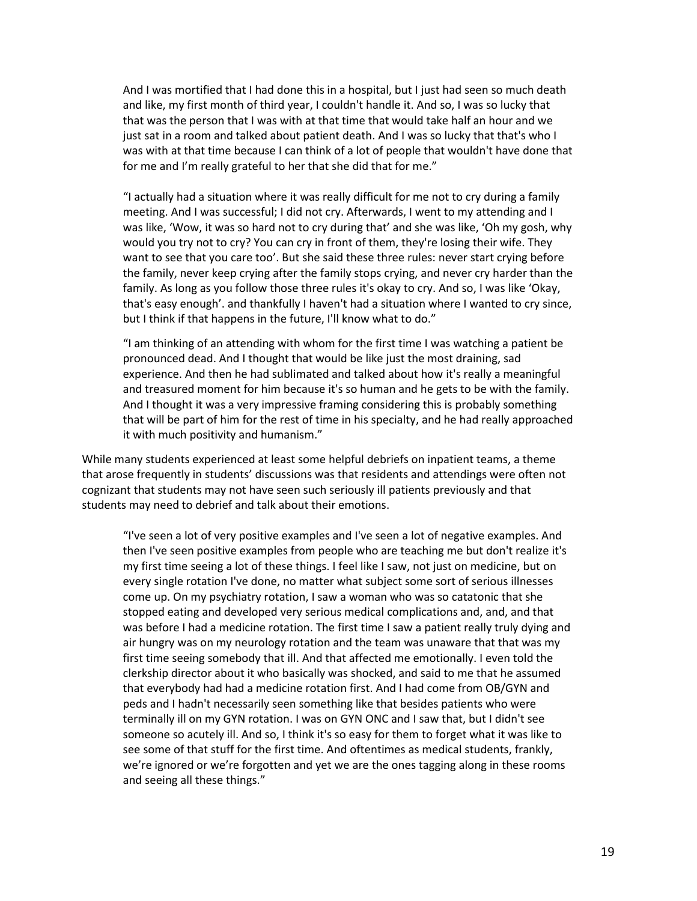And I was mortified that I had done this in a hospital, but I just had seen so much death and like, my first month of third year, I couldn't handle it. And so, I was so lucky that that was the person that I was with at that time that would take half an hour and we just sat in a room and talked about patient death. And I was so lucky that that's who I was with at that time because I can think of a lot of people that wouldn't have done that for me and I'm really grateful to her that she did that for me."

"I actually had a situation where it was really difficult for me not to cry during a family meeting. And I was successful; I did not cry. Afterwards, I went to my attending and I was like, 'Wow, it was so hard not to cry during that' and she was like, 'Oh my gosh, why would you try not to cry? You can cry in front of them, they're losing their wife. They want to see that you care too'. But she said these three rules: never start crying before the family, never keep crying after the family stops crying, and never cry harder than the family. As long as you follow those three rules it's okay to cry. And so, I was like 'Okay, that's easy enough'. and thankfully I haven't had a situation where I wanted to cry since, but I think if that happens in the future, I'll know what to do."

"I am thinking of an attending with whom for the first time I was watching a patient be pronounced dead. And I thought that would be like just the most draining, sad experience. And then he had sublimated and talked about how it's really a meaningful and treasured moment for him because it's so human and he gets to be with the family. And I thought it was a very impressive framing considering this is probably something that will be part of him for the rest of time in his specialty, and he had really approached it with much positivity and humanism."

While many students experienced at least some helpful debriefs on inpatient teams, a theme that arose frequently in students' discussions was that residents and attendings were often not cognizant that students may not have seen such seriously ill patients previously and that students may need to debrief and talk about their emotions.

"I've seen a lot of very positive examples and I've seen a lot of negative examples. And then I've seen positive examples from people who are teaching me but don't realize it's my first time seeing a lot of these things. I feel like I saw, not just on medicine, but on every single rotation I've done, no matter what subject some sort of serious illnesses come up. On my psychiatry rotation, I saw a woman who was so catatonic that she stopped eating and developed very serious medical complications and, and, and that was before I had a medicine rotation. The first time I saw a patient really truly dying and air hungry was on my neurology rotation and the team was unaware that that was my first time seeing somebody that ill. And that affected me emotionally. I even told the clerkship director about it who basically was shocked, and said to me that he assumed that everybody had had a medicine rotation first. And I had come from OB/GYN and peds and I hadn't necessarily seen something like that besides patients who were terminally ill on my GYN rotation. I was on GYN ONC and I saw that, but I didn't see someone so acutely ill. And so, I think it's so easy for them to forget what it was like to see some of that stuff for the first time. And oftentimes as medical students, frankly, we're ignored or we're forgotten and yet we are the ones tagging along in these rooms and seeing all these things."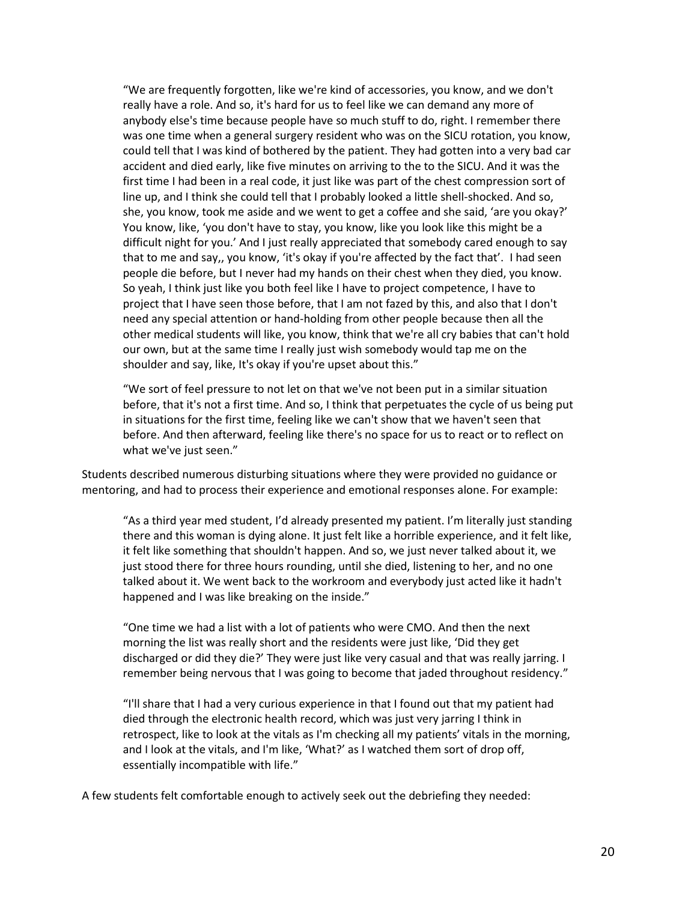"We are frequently forgotten, like we're kind of accessories, you know, and we don't really have a role. And so, it's hard for us to feel like we can demand any more of anybody else's time because people have so much stuff to do, right. I remember there was one time when a general surgery resident who was on the SICU rotation, you know, could tell that I was kind of bothered by the patient. They had gotten into a very bad car accident and died early, like five minutes on arriving to the to the SICU. And it was the first time I had been in a real code, it just like was part of the chest compression sort of line up, and I think she could tell that I probably looked a little shell-shocked. And so, she, you know, took me aside and we went to get a coffee and she said, 'are you okay?' You know, like, 'you don't have to stay, you know, like you look like this might be a difficult night for you.' And I just really appreciated that somebody cared enough to say that to me and say,, you know, 'it's okay if you're affected by the fact that'. I had seen people die before, but I never had my hands on their chest when they died, you know. So yeah, I think just like you both feel like I have to project competence, I have to project that I have seen those before, that I am not fazed by this, and also that I don't need any special attention or hand-holding from other people because then all the other medical students will like, you know, think that we're all cry babies that can't hold our own, but at the same time I really just wish somebody would tap me on the shoulder and say, like, It's okay if you're upset about this."

"We sort of feel pressure to not let on that we've not been put in a similar situation before, that it's not a first time. And so, I think that perpetuates the cycle of us being put in situations for the first time, feeling like we can't show that we haven't seen that before. And then afterward, feeling like there's no space for us to react or to reflect on what we've just seen."

Students described numerous disturbing situations where they were provided no guidance or mentoring, and had to process their experience and emotional responses alone. For example:

"As a third year med student, I'd already presented my patient. I'm literally just standing there and this woman is dying alone. It just felt like a horrible experience, and it felt like, it felt like something that shouldn't happen. And so, we just never talked about it, we just stood there for three hours rounding, until she died, listening to her, and no one talked about it. We went back to the workroom and everybody just acted like it hadn't happened and I was like breaking on the inside."

"One time we had a list with a lot of patients who were CMO. And then the next morning the list was really short and the residents were just like, 'Did they get discharged or did they die?' They were just like very casual and that was really jarring. I remember being nervous that I was going to become that jaded throughout residency."

"I'll share that I had a very curious experience in that I found out that my patient had died through the electronic health record, which was just very jarring I think in retrospect, like to look at the vitals as I'm checking all my patients' vitals in the morning, and I look at the vitals, and I'm like, 'What?' as I watched them sort of drop off, essentially incompatible with life."

A few students felt comfortable enough to actively seek out the debriefing they needed: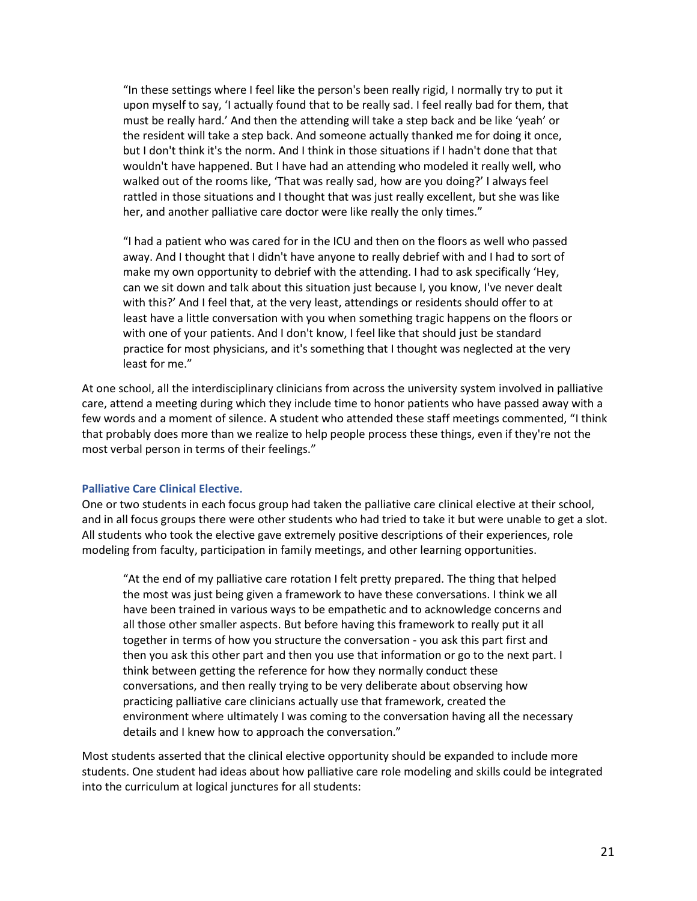"In these settings where I feel like the person's been really rigid, I normally try to put it upon myself to say, 'I actually found that to be really sad. I feel really bad for them, that must be really hard.' And then the attending will take a step back and be like 'yeah' or the resident will take a step back. And someone actually thanked me for doing it once, but I don't think it's the norm. And I think in those situations if I hadn't done that that wouldn't have happened. But I have had an attending who modeled it really well, who walked out of the rooms like, 'That was really sad, how are you doing?' I always feel rattled in those situations and I thought that was just really excellent, but she was like her, and another palliative care doctor were like really the only times."

"I had a patient who was cared for in the ICU and then on the floors as well who passed away. And I thought that I didn't have anyone to really debrief with and I had to sort of make my own opportunity to debrief with the attending. I had to ask specifically 'Hey, can we sit down and talk about this situation just because I, you know, I've never dealt with this?' And I feel that, at the very least, attendings or residents should offer to at least have a little conversation with you when something tragic happens on the floors or with one of your patients. And I don't know, I feel like that should just be standard practice for most physicians, and it's something that I thought was neglected at the very least for me."

At one school, all the interdisciplinary clinicians from across the university system involved in palliative care, attend a meeting during which they include time to honor patients who have passed away with a few words and a moment of silence. A student who attended these staff meetings commented, "I think that probably does more than we realize to help people process these things, even if they're not the most verbal person in terms of their feelings."

#### <span id="page-20-0"></span>**Palliative Care Clinical Elective.**

One or two students in each focus group had taken the palliative care clinical elective at their school, and in all focus groups there were other students who had tried to take it but were unable to get a slot. All students who took the elective gave extremely positive descriptions of their experiences, role modeling from faculty, participation in family meetings, and other learning opportunities.

"At the end of my palliative care rotation I felt pretty prepared. The thing that helped the most was just being given a framework to have these conversations. I think we all have been trained in various ways to be empathetic and to acknowledge concerns and all those other smaller aspects. But before having this framework to really put it all together in terms of how you structure the conversation - you ask this part first and then you ask this other part and then you use that information or go to the next part. I think between getting the reference for how they normally conduct these conversations, and then really trying to be very deliberate about observing how practicing palliative care clinicians actually use that framework, created the environment where ultimately I was coming to the conversation having all the necessary details and I knew how to approach the conversation."

Most students asserted that the clinical elective opportunity should be expanded to include more students. One student had ideas about how palliative care role modeling and skills could be integrated into the curriculum at logical junctures for all students: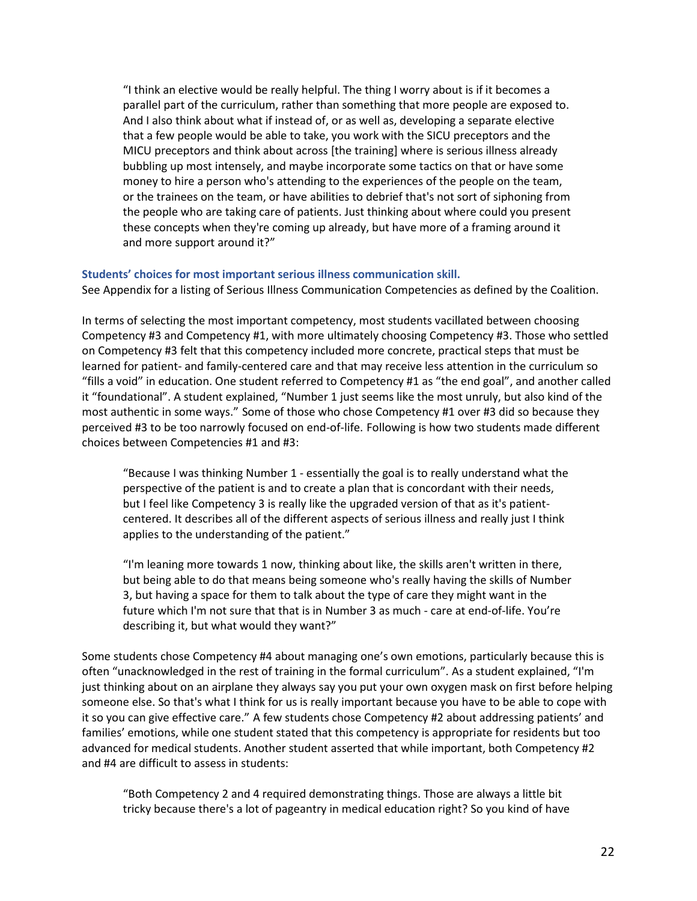"I think an elective would be really helpful. The thing I worry about is if it becomes a parallel part of the curriculum, rather than something that more people are exposed to. And I also think about what if instead of, or as well as, developing a separate elective that a few people would be able to take, you work with the SICU preceptors and the MICU preceptors and think about across [the training] where is serious illness already bubbling up most intensely, and maybe incorporate some tactics on that or have some money to hire a person who's attending to the experiences of the people on the team, or the trainees on the team, or have abilities to debrief that's not sort of siphoning from the people who are taking care of patients. Just thinking about where could you present these concepts when they're coming up already, but have more of a framing around it and more support around it?"

#### <span id="page-21-0"></span>**Students' choices for most important serious illness communication skill.**

See Appendix for a listing of Serious Illness Communication Competencies as defined by the Coalition.

In terms of selecting the most important competency, most students vacillated between choosing Competency #3 and Competency #1, with more ultimately choosing Competency #3. Those who settled on Competency #3 felt that this competency included more concrete, practical steps that must be learned for patient- and family-centered care and that may receive less attention in the curriculum so "fills a void" in education. One student referred to Competency #1 as "the end goal", and another called it "foundational". A student explained, "Number 1 just seems like the most unruly, but also kind of the most authentic in some ways." Some of those who chose Competency #1 over #3 did so because they perceived #3 to be too narrowly focused on end-of-life. Following is how two students made different choices between Competencies #1 and #3:

"Because I was thinking Number 1 - essentially the goal is to really understand what the perspective of the patient is and to create a plan that is concordant with their needs, but I feel like Competency 3 is really like the upgraded version of that as it's patientcentered. It describes all of the different aspects of serious illness and really just I think applies to the understanding of the patient."

"I'm leaning more towards 1 now, thinking about like, the skills aren't written in there, but being able to do that means being someone who's really having the skills of Number 3, but having a space for them to talk about the type of care they might want in the future which I'm not sure that that is in Number 3 as much - care at end-of-life. You're describing it, but what would they want?"

Some students chose Competency #4 about managing one's own emotions, particularly because this is often "unacknowledged in the rest of training in the formal curriculum". As a student explained, "I'm just thinking about on an airplane they always say you put your own oxygen mask on first before helping someone else. So that's what I think for us is really important because you have to be able to cope with it so you can give effective care." A few students chose Competency #2 about addressing patients' and families' emotions, while one student stated that this competency is appropriate for residents but too advanced for medical students. Another student asserted that while important, both Competency #2 and #4 are difficult to assess in students:

"Both Competency 2 and 4 required demonstrating things. Those are always a little bit tricky because there's a lot of pageantry in medical education right? So you kind of have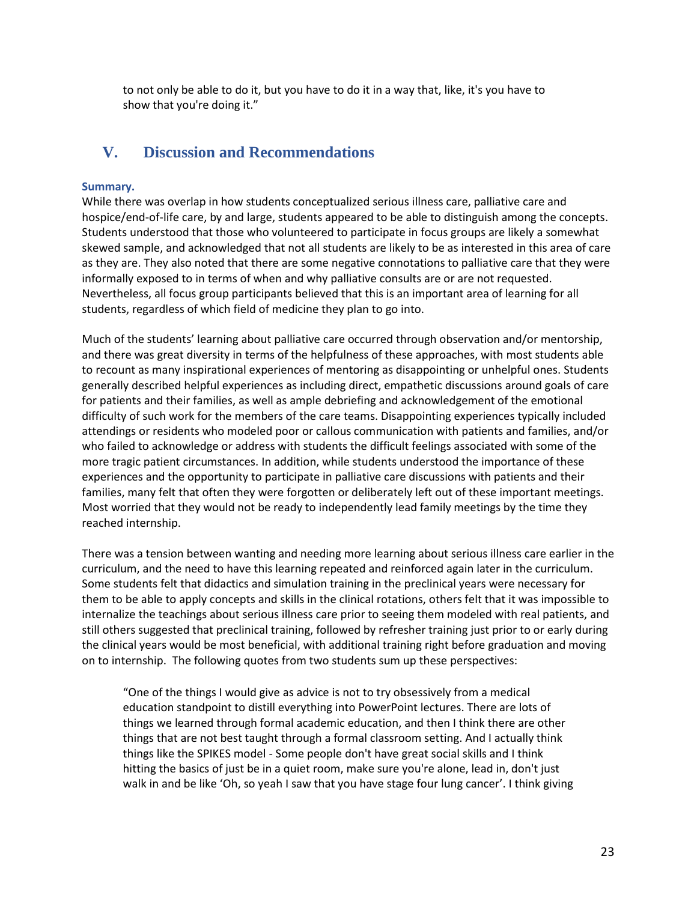to not only be able to do it, but you have to do it in a way that, like, it's you have to show that you're doing it."

## <span id="page-22-0"></span>**V. Discussion and Recommendations**

### <span id="page-22-1"></span>**Summary.**

While there was overlap in how students conceptualized serious illness care, palliative care and hospice/end-of-life care, by and large, students appeared to be able to distinguish among the concepts. Students understood that those who volunteered to participate in focus groups are likely a somewhat skewed sample, and acknowledged that not all students are likely to be as interested in this area of care as they are. They also noted that there are some negative connotations to palliative care that they were informally exposed to in terms of when and why palliative consults are or are not requested. Nevertheless, all focus group participants believed that this is an important area of learning for all students, regardless of which field of medicine they plan to go into.

Much of the students' learning about palliative care occurred through observation and/or mentorship, and there was great diversity in terms of the helpfulness of these approaches, with most students able to recount as many inspirational experiences of mentoring as disappointing or unhelpful ones. Students generally described helpful experiences as including direct, empathetic discussions around goals of care for patients and their families, as well as ample debriefing and acknowledgement of the emotional difficulty of such work for the members of the care teams. Disappointing experiences typically included attendings or residents who modeled poor or callous communication with patients and families, and/or who failed to acknowledge or address with students the difficult feelings associated with some of the more tragic patient circumstances. In addition, while students understood the importance of these experiences and the opportunity to participate in palliative care discussions with patients and their families, many felt that often they were forgotten or deliberately left out of these important meetings. Most worried that they would not be ready to independently lead family meetings by the time they reached internship.

There was a tension between wanting and needing more learning about serious illness care earlier in the curriculum, and the need to have this learning repeated and reinforced again later in the curriculum. Some students felt that didactics and simulation training in the preclinical years were necessary for them to be able to apply concepts and skills in the clinical rotations, others felt that it was impossible to internalize the teachings about serious illness care prior to seeing them modeled with real patients, and still others suggested that preclinical training, followed by refresher training just prior to or early during the clinical years would be most beneficial, with additional training right before graduation and moving on to internship. The following quotes from two students sum up these perspectives:

"One of the things I would give as advice is not to try obsessively from a medical education standpoint to distill everything into PowerPoint lectures. There are lots of things we learned through formal academic education, and then I think there are other things that are not best taught through a formal classroom setting. And I actually think things like the SPIKES model - Some people don't have great social skills and I think hitting the basics of just be in a quiet room, make sure you're alone, lead in, don't just walk in and be like 'Oh, so yeah I saw that you have stage four lung cancer'. I think giving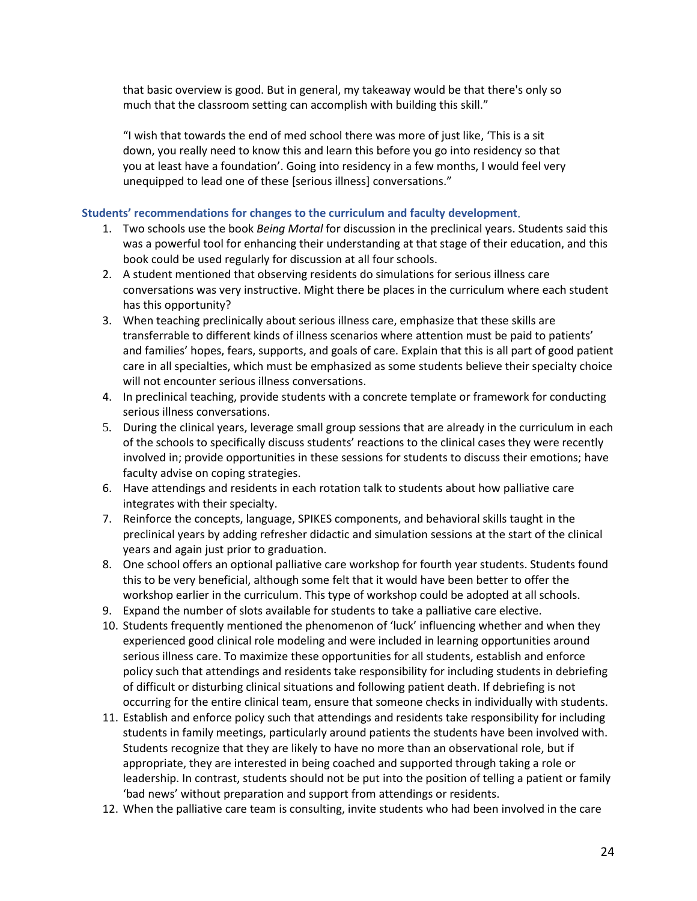that basic overview is good. But in general, my takeaway would be that there's only so much that the classroom setting can accomplish with building this skill."

"I wish that towards the end of med school there was more of just like, 'This is a sit down, you really need to know this and learn this before you go into residency so that you at least have a foundation'. Going into residency in a few months, I would feel very unequipped to lead one of these [serious illness] conversations."

### <span id="page-23-0"></span>**Students' recommendations for changes to the curriculum and faculty development**.

- 1. Two schools use the book *Being Mortal* for discussion in the preclinical years. Students said this was a powerful tool for enhancing their understanding at that stage of their education, and this book could be used regularly for discussion at all four schools.
- 2. A student mentioned that observing residents do simulations for serious illness care conversations was very instructive. Might there be places in the curriculum where each student has this opportunity?
- 3. When teaching preclinically about serious illness care, emphasize that these skills are transferrable to different kinds of illness scenarios where attention must be paid to patients' and families' hopes, fears, supports, and goals of care. Explain that this is all part of good patient care in all specialties, which must be emphasized as some students believe their specialty choice will not encounter serious illness conversations.
- 4. In preclinical teaching, provide students with a concrete template or framework for conducting serious illness conversations.
- 5. During the clinical years, leverage small group sessions that are already in the curriculum in each of the schools to specifically discuss students' reactions to the clinical cases they were recently involved in; provide opportunities in these sessions for students to discuss their emotions; have faculty advise on coping strategies.
- 6. Have attendings and residents in each rotation talk to students about how palliative care integrates with their specialty.
- 7. Reinforce the concepts, language, SPIKES components, and behavioral skills taught in the preclinical years by adding refresher didactic and simulation sessions at the start of the clinical years and again just prior to graduation.
- 8. One school offers an optional palliative care workshop for fourth year students. Students found this to be very beneficial, although some felt that it would have been better to offer the workshop earlier in the curriculum. This type of workshop could be adopted at all schools.
- 9. Expand the number of slots available for students to take a palliative care elective.
- 10. Students frequently mentioned the phenomenon of 'luck' influencing whether and when they experienced good clinical role modeling and were included in learning opportunities around serious illness care. To maximize these opportunities for all students, establish and enforce policy such that attendings and residents take responsibility for including students in debriefing of difficult or disturbing clinical situations and following patient death. If debriefing is not occurring for the entire clinical team, ensure that someone checks in individually with students.
- 11. Establish and enforce policy such that attendings and residents take responsibility for including students in family meetings, particularly around patients the students have been involved with. Students recognize that they are likely to have no more than an observational role, but if appropriate, they are interested in being coached and supported through taking a role or leadership. In contrast, students should not be put into the position of telling a patient or family 'bad news' without preparation and support from attendings or residents.
- 12. When the palliative care team is consulting, invite students who had been involved in the care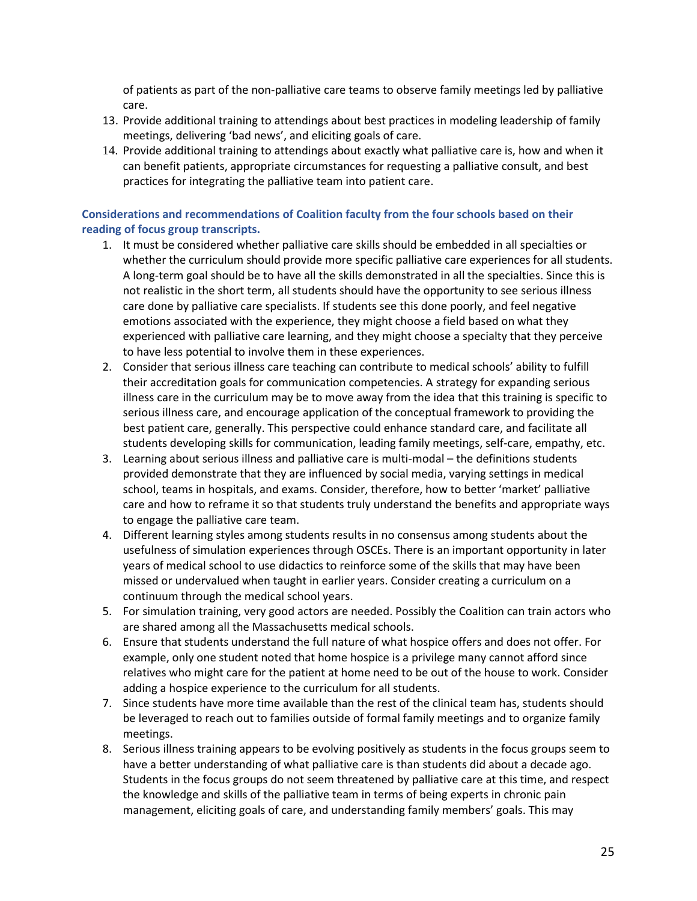of patients as part of the non-palliative care teams to observe family meetings led by palliative care.

- 13. Provide additional training to attendings about best practices in modeling leadership of family meetings, delivering 'bad news', and eliciting goals of care.
- 14. Provide additional training to attendings about exactly what palliative care is, how and when it can benefit patients, appropriate circumstances for requesting a palliative consult, and best practices for integrating the palliative team into patient care.

## <span id="page-24-0"></span>**Considerations and recommendations of Coalition faculty from the four schools based on their reading of focus group transcripts.**

- 1. It must be considered whether palliative care skills should be embedded in all specialties or whether the curriculum should provide more specific palliative care experiences for all students. A long-term goal should be to have all the skills demonstrated in all the specialties. Since this is not realistic in the short term, all students should have the opportunity to see serious illness care done by palliative care specialists. If students see this done poorly, and feel negative emotions associated with the experience, they might choose a field based on what they experienced with palliative care learning, and they might choose a specialty that they perceive to have less potential to involve them in these experiences.
- 2. Consider that serious illness care teaching can contribute to medical schools' ability to fulfill their accreditation goals for communication competencies. A strategy for expanding serious illness care in the curriculum may be to move away from the idea that this training is specific to serious illness care, and encourage application of the conceptual framework to providing the best patient care, generally. This perspective could enhance standard care, and facilitate all students developing skills for communication, leading family meetings, self-care, empathy, etc.
- 3. Learning about serious illness and palliative care is multi-modal the definitions students provided demonstrate that they are influenced by social media, varying settings in medical school, teams in hospitals, and exams. Consider, therefore, how to better 'market' palliative care and how to reframe it so that students truly understand the benefits and appropriate ways to engage the palliative care team.
- 4. Different learning styles among students results in no consensus among students about the usefulness of simulation experiences through OSCEs. There is an important opportunity in later years of medical school to use didactics to reinforce some of the skills that may have been missed or undervalued when taught in earlier years. Consider creating a curriculum on a continuum through the medical school years.
- 5. For simulation training, very good actors are needed. Possibly the Coalition can train actors who are shared among all the Massachusetts medical schools.
- 6. Ensure that students understand the full nature of what hospice offers and does not offer. For example, only one student noted that home hospice is a privilege many cannot afford since relatives who might care for the patient at home need to be out of the house to work. Consider adding a hospice experience to the curriculum for all students.
- 7. Since students have more time available than the rest of the clinical team has, students should be leveraged to reach out to families outside of formal family meetings and to organize family meetings.
- 8. Serious illness training appears to be evolving positively as students in the focus groups seem to have a better understanding of what palliative care is than students did about a decade ago. Students in the focus groups do not seem threatened by palliative care at this time, and respect the knowledge and skills of the palliative team in terms of being experts in chronic pain management, eliciting goals of care, and understanding family members' goals. This may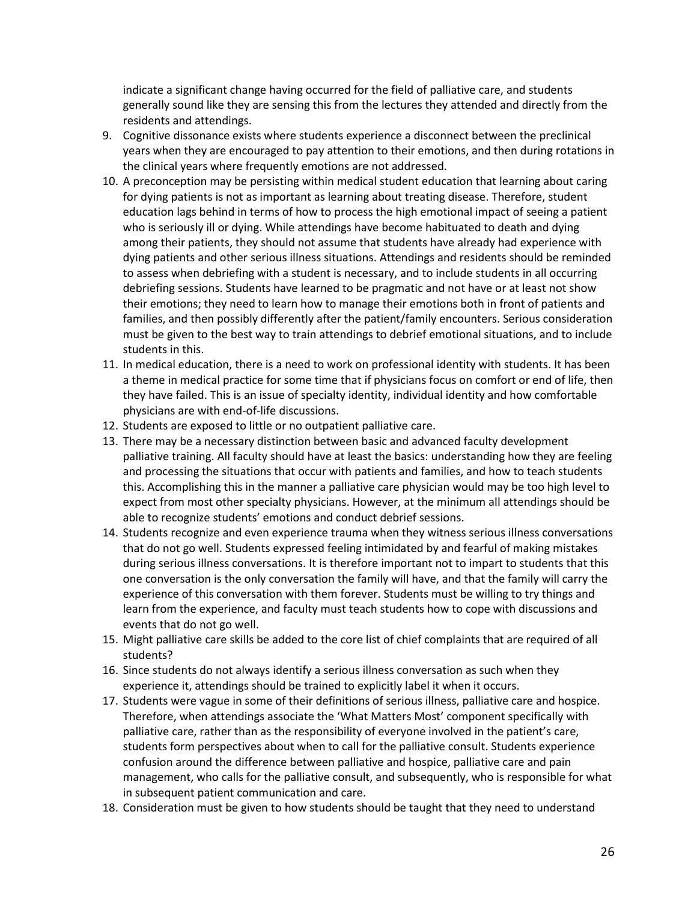indicate a significant change having occurred for the field of palliative care, and students generally sound like they are sensing this from the lectures they attended and directly from the residents and attendings.

- 9. Cognitive dissonance exists where students experience a disconnect between the preclinical years when they are encouraged to pay attention to their emotions, and then during rotations in the clinical years where frequently emotions are not addressed.
- 10. A preconception may be persisting within medical student education that learning about caring for dying patients is not as important as learning about treating disease. Therefore, student education lags behind in terms of how to process the high emotional impact of seeing a patient who is seriously ill or dying. While attendings have become habituated to death and dying among their patients, they should not assume that students have already had experience with dying patients and other serious illness situations. Attendings and residents should be reminded to assess when debriefing with a student is necessary, and to include students in all occurring debriefing sessions. Students have learned to be pragmatic and not have or at least not show their emotions; they need to learn how to manage their emotions both in front of patients and families, and then possibly differently after the patient/family encounters. Serious consideration must be given to the best way to train attendings to debrief emotional situations, and to include students in this.
- 11. In medical education, there is a need to work on professional identity with students. It has been a theme in medical practice for some time that if physicians focus on comfort or end of life, then they have failed. This is an issue of specialty identity, individual identity and how comfortable physicians are with end-of-life discussions.
- 12. Students are exposed to little or no outpatient palliative care.
- 13. There may be a necessary distinction between basic and advanced faculty development palliative training. All faculty should have at least the basics: understanding how they are feeling and processing the situations that occur with patients and families, and how to teach students this. Accomplishing this in the manner a palliative care physician would may be too high level to expect from most other specialty physicians. However, at the minimum all attendings should be able to recognize students' emotions and conduct debrief sessions.
- 14. Students recognize and even experience trauma when they witness serious illness conversations that do not go well. Students expressed feeling intimidated by and fearful of making mistakes during serious illness conversations. It is therefore important not to impart to students that this one conversation is the only conversation the family will have, and that the family will carry the experience of this conversation with them forever. Students must be willing to try things and learn from the experience, and faculty must teach students how to cope with discussions and events that do not go well.
- 15. Might palliative care skills be added to the core list of chief complaints that are required of all students?
- 16. Since students do not always identify a serious illness conversation as such when they experience it, attendings should be trained to explicitly label it when it occurs.
- 17. Students were vague in some of their definitions of serious illness, palliative care and hospice. Therefore, when attendings associate the 'What Matters Most' component specifically with palliative care, rather than as the responsibility of everyone involved in the patient's care, students form perspectives about when to call for the palliative consult. Students experience confusion around the difference between palliative and hospice, palliative care and pain management, who calls for the palliative consult, and subsequently, who is responsible for what in subsequent patient communication and care.
- 18. Consideration must be given to how students should be taught that they need to understand